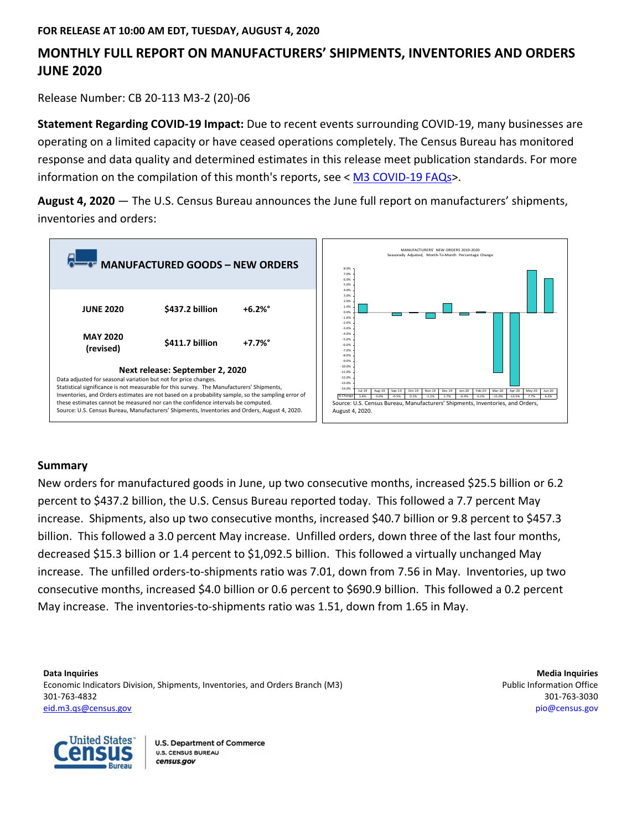### **MONTHLY FULL REPORT ON MANUFACTURERS' SHIPMENTS, INVENTORIES AND ORDERS JUNE 2020**

Release Number: CB 20-113 M3-2 (20)-06

**Statement Regarding COVID-19 Impact:** Due to recent events surrounding COVID-19, many businesses are operating on a limited capacity or have ceased operations completely. The Census Bureau has monitored response and data quality and determined estimates in this release meet publication standards. For more information on the compilation of this month's reports, see < [M3 COVID-19 FAQs>](http://census.gov/manufacturing/m3/M3%20COVID-19%20FAQs.pdf).

**August 4, 2020** — The U.S. Census Bureau announces the June full report on manufacturers' shipments, inventories and orders:



#### **Summary**

New orders for manufactured goods in June, up two consecutive months, increased \$25.5 billion or 6.2 percent to \$437.2 billion, the U.S. Census Bureau reported today. This followed a 7.7 percent May increase. Shipments, also up two consecutive months, increased \$40.7 billion or 9.8 percent to \$457.3 billion. This followed a 3.0 percent May increase. Unfilled orders, down three of the last four months, decreased \$15.3 billion or 1.4 percent to \$1,092.5 billion. This followed a virtually unchanged May increase. The unfilled orders-to-shipments ratio was 7.01, down from 7.56 in May. Inventories, up two consecutive months, increased \$4.0 billion or 0.6 percent to \$690.9 billion. This followed a 0.2 percent May increase. The inventories-to-shipments ratio was 1.51, down from 1.65 in May.

**Data Inquiries Media Inquiries** Economic Indicators Division, Shipments, Inventories, and Orders Branch (M3) **Public Information Office** example and Orders Branch (M3) 301-763-4832 301-763-3030 [eid.m3.qs@census.gov](mailto:eid.m3.qs@census.gov) [pio@census.gov](http://www.census.gov/manufacturing/m3)

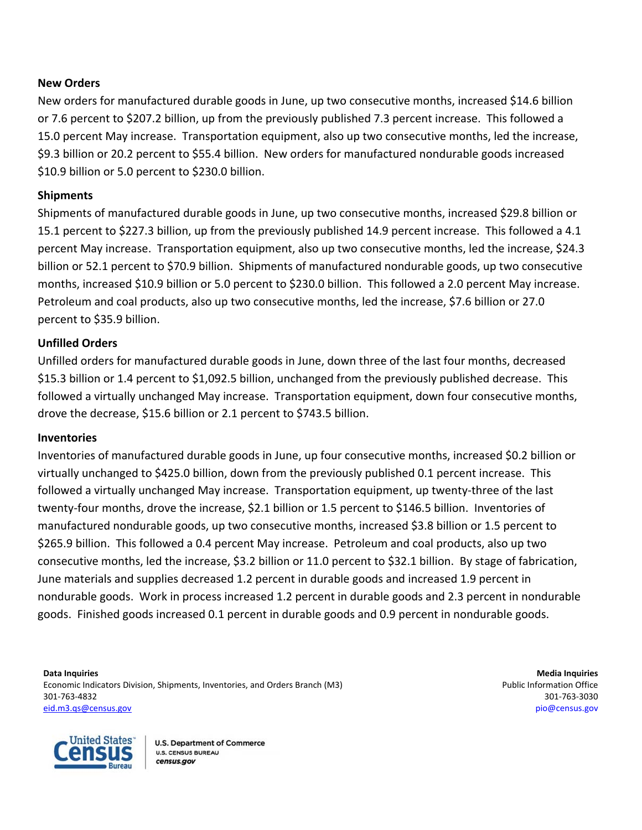#### **New Orders**

New orders for manufactured durable goods in June, up two consecutive months, increased \$14.6 billion or 7.6 percent to \$207.2 billion, up from the previously published 7.3 percent increase. This followed a 15.0 percent May increase. Transportation equipment, also up two consecutive months, led the increase, \$9.3 billion or 20.2 percent to \$55.4 billion. New orders for manufactured nondurable goods increased \$10.9 billion or 5.0 percent to \$230.0 billion.

#### **Shipments**

Shipments of manufactured durable goods in June, up two consecutive months, increased \$29.8 billion or 15.1 percent to \$227.3 billion, up from the previously published 14.9 percent increase. This followed a 4.1 percent May increase. Transportation equipment, also up two consecutive months, led the increase, \$24.3 billion or 52.1 percent to \$70.9 billion. Shipments of manufactured nondurable goods, up two consecutive months, increased \$10.9 billion or 5.0 percent to \$230.0 billion. This followed a 2.0 percent May increase. Petroleum and coal products, also up two consecutive months, led the increase, \$7.6 billion or 27.0 percent to \$35.9 billion.

#### **Unfilled Orders**

Unfilled orders for manufactured durable goods in June, down three of the last four months, decreased \$15.3 billion or 1.4 percent to \$1,092.5 billion, unchanged from the previously published decrease. This followed a virtually unchanged May increase. Transportation equipment, down four consecutive months, drove the decrease, \$15.6 billion or 2.1 percent to \$743.5 billion.

#### **Inventories**

Inventories of manufactured durable goods in June, up four consecutive months, increased \$0.2 billion or virtually unchanged to \$425.0 billion, down from the previously published 0.1 percent increase. This followed a virtually unchanged May increase. Transportation equipment, up twenty-three of the last twenty-four months, drove the increase, \$2.1 billion or 1.5 percent to \$146.5 billion. Inventories of manufactured nondurable goods, up two consecutive months, increased \$3.8 billion or 1.5 percent to \$265.9 billion. This followed a 0.4 percent May increase. Petroleum and coal products, also up two consecutive months, led the increase, \$3.2 billion or 11.0 percent to \$32.1 billion. By stage of fabrication, June materials and supplies decreased 1.2 percent in durable goods and increased 1.9 percent in nondurable goods. Work in process increased 1.2 percent in durable goods and 2.3 percent in nondurable goods. Finished goods increased 0.1 percent in durable goods and 0.9 percent in nondurable goods.

**Data Inquiries Media Inquiries** Economic Indicators Division, Shipments, Inventories, and Orders Branch (M3) example the extended office problem office 301-763-4832 301-763-3030 [eid.m3.qs@census.gov](mailto:eid.m3.qs@census.gov) [pio@census.gov](http://www.census.gov/manufacturing/m3)

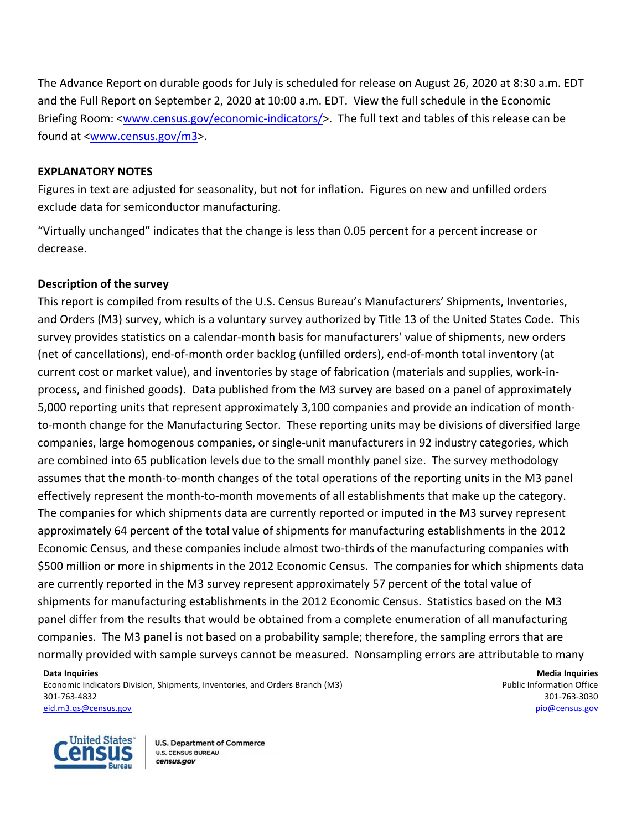The Advance Report on durable goods for July is scheduled for release on August 26, 2020 at 8:30 a.m. EDT and the Full Report on September 2, 2020 at 10:00 a.m. EDT. View the full schedule in the Economic Briefing Room: [<www.census.gov/economic-indicators/>](https://www.census.gov/economic-indicators/). The full text and tables of this release can be found at [<www.census.gov/m3>](https://www.census.gov/manufacturing/m3/index.html).

#### **EXPLANATORY NOTES**

Figures in text are adjusted for seasonality, but not for inflation. Figures on new and unfilled orders exclude data for semiconductor manufacturing.

"Virtually unchanged" indicates that the change is less than 0.05 percent for a percent increase or decrease.

#### **Description of the survey**

This report is compiled from results of the U.S. Census Bureau's Manufacturers' Shipments, Inventories, and Orders (M3) survey, which is a voluntary survey authorized by Title 13 of the United States Code. This survey provides statistics on a calendar-month basis for manufacturers' value of shipments, new orders (net of cancellations), end-of-month order backlog (unfilled orders), end-of-month total inventory (at current cost or market value), and inventories by stage of fabrication (materials and supplies, work-inprocess, and finished goods). Data published from the M3 survey are based on a panel of approximately 5,000 reporting units that represent approximately 3,100 companies and provide an indication of monthto-month change for the Manufacturing Sector. These reporting units may be divisions of diversified large companies, large homogenous companies, or single-unit manufacturers in 92 industry categories, which are combined into 65 publication levels due to the small monthly panel size. The survey methodology assumes that the month-to-month changes of the total operations of the reporting units in the M3 panel effectively represent the month-to-month movements of all establishments that make up the category. The companies for which shipments data are currently reported or imputed in the M3 survey represent approximately 64 percent of the total value of shipments for manufacturing establishments in the 2012 Economic Census, and these companies include almost two-thirds of the manufacturing companies with \$500 million or more in shipments in the 2012 Economic Census. The companies for which shipments data are currently reported in the M3 survey represent approximately 57 percent of the total value of shipments for manufacturing establishments in the 2012 Economic Census. Statistics based on the M3 panel differ from the results that would be obtained from a complete enumeration of all manufacturing companies. The M3 panel is not based on a probability sample; therefore, the sampling errors that are normally provided with sample surveys cannot be measured. Nonsampling errors are attributable to many

**Data Inquiries Media Inquiries** Economic Indicators Division, Shipments, Inventories, and Orders Branch (M3) **Public Information Office** example and Orders Branch (M3) 301-763-4832 301-763-3030

[eid.m3.qs@census.gov](mailto:eid.m3.qs@census.gov) [pio@census.gov](http://www.census.gov/manufacturing/m3)

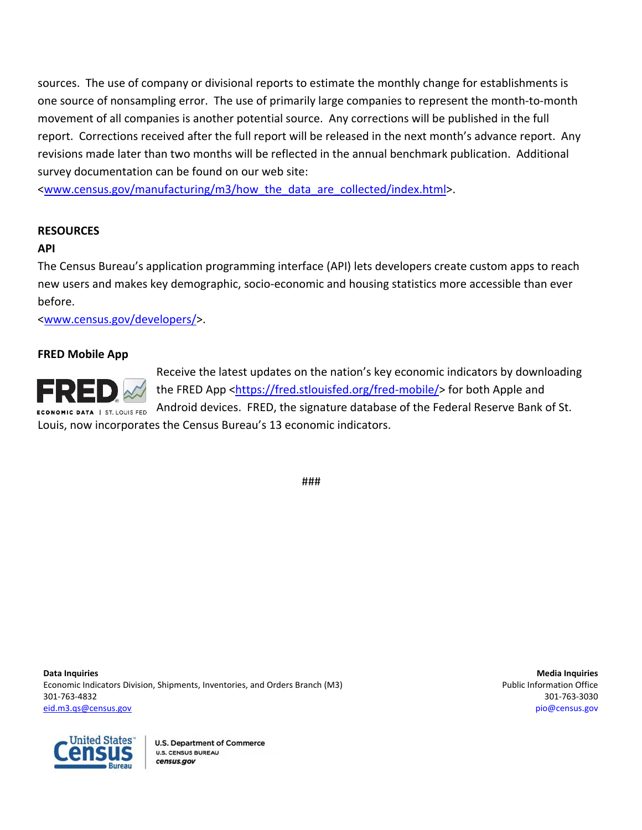sources. The use of company or divisional reports to estimate the monthly change for establishments is one source of nonsampling error. The use of primarily large companies to represent the month-to-month movement of all companies is another potential source. Any corrections will be published in the full report. Corrections received after the full report will be released in the next month's advance report. Any revisions made later than two months will be reflected in the annual benchmark publication.Additional survey documentation can be found on our web site:

<www.census.gov/manufacturing/m3/how the data are collected/index.html>.

#### **RESOURCES**

#### **API**

The Census Bureau's application programming interface (API) lets developers create custom apps to reach new users and makes key demographic, socio-economic and housing statistics more accessible than ever before.

[<www.census.gov/developers/>](http://www.census.gov/developers/).

#### **FRED Mobile App**



Receive the latest updates on the nation's key economic indicators by downloading the FRED App [<https://fred.stlouisfed.org/fred-mobile/>](https://fred.stlouisfed.org/fred-mobile/index.php?utm_source=census&utm_medium=pdf&utm_campaign=mobile_app) for both Apple and Android devices. FRED, the signature database of the Federal Reserve Bank of St. Louis, now incorporates the Census Bureau's 13 economic indicators.

###

**Data Inquiries Media Inquiries** Economic Indicators Division, Shipments, Inventories, and Orders Branch (M3) **Public Information Office** example and Orders Branch (M3) 301-763-4832 301-763-3030 [eid.m3.qs@census.gov](mailto:eid.m3.qs@census.gov) [pio@census.gov](http://www.census.gov/manufacturing/m3)

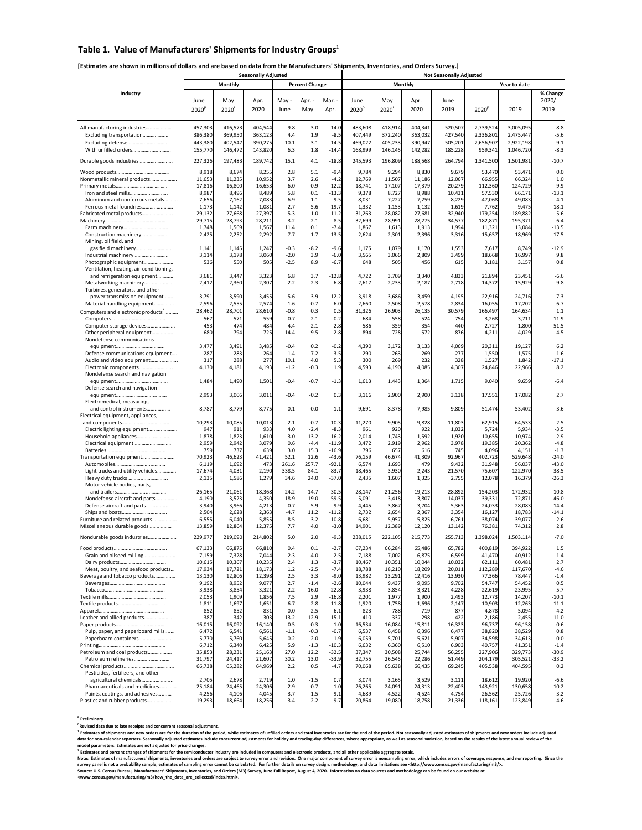# Table 1. Value of Manufacturers' Shipments for Industry Groups<sup>1</sup>

|                                                                        |                   |                 | <b>Seasonally Adjusted</b> |                  |                       |                    |                   |                 |                 | <b>Not Seasonally Adjusted</b> |                   |                  |                    |
|------------------------------------------------------------------------|-------------------|-----------------|----------------------------|------------------|-----------------------|--------------------|-------------------|-----------------|-----------------|--------------------------------|-------------------|------------------|--------------------|
|                                                                        |                   | <b>Monthly</b>  |                            |                  | <b>Percent Change</b> |                    |                   |                 | <b>Monthly</b>  |                                |                   | Year to date     |                    |
| <b>Industry</b>                                                        | June              | May             | Apr.                       | May -            | Apr. -                | Mar. -             | June              | May             | Apr.            | June                           |                   |                  | % Change<br>2020/  |
|                                                                        | 2020 <sup>F</sup> | 2020            | 2020                       | June             | May                   | Apr.               | 2020 <sup>p</sup> | 2020            | 2020            | 2019                           | 2020 <sup>p</sup> | 2019             | 2019               |
|                                                                        |                   |                 |                            |                  |                       |                    |                   |                 |                 |                                |                   |                  |                    |
| All manufacturing industries                                           | 457,303           | 416,573         | 404,544                    | 9.8              | 3.0                   | $-14.0$            | 483,608           | 418,914         | 404,341         | 520,507                        | 2,739,524         | 3,005,095        | $-8.8$             |
| Excluding transportation                                               | 386,380           | 369,950         | 363,123                    | 4.4              | 1.9                   | $-8.5$             | 407,449           | 372,240         | 363,032         | 427,540                        | 2,336,801         | 2,475,447        | $-5.6$             |
| Excluding defense                                                      | 443,380           | 402,547         | 390,275                    | 10.1             | 3.1                   | $-14.5$            | 469,022           | 405,233         | 390,947         | 505,201                        | 2,656,907         | 2,922,198        | $-9.1$             |
| With unfilled orders                                                   | 155,770           | 146,472         | 143,820                    | 6.3              | 1.8                   | $-14.4$            | 168,999           | 146,145         | 142,282         | 185,228                        | 959,341           | 1,046,720        | $-8.3$             |
| Durable goods industries                                               | 227,326           | 197,483         | 189,742                    | 15.1             | 4.1                   | $-18.8$            | 245,593           | 196,809         | 188,568         | 264,794                        | 1,341,500         | 1,501,981        | $-10.7$            |
|                                                                        | 8,918             | 8,674           | 8,255                      | 2.8              | 5.1                   | $-9.4$             | 9,784             | 9,294           | 8,830           | 9,679                          | 53,470            | 53,471           | 0.0                |
| Nonmetallic mineral products                                           | 11,653            | 11,235          | 10,952                     | 3.7              | 2.6                   | $-4.2$             | 12,769            | 11,507          | 11,186          | 12,067                         | 66,955            | 66,324           | 1.0                |
|                                                                        | 17,816            | 16,800          | 16,653                     | 6.0              | 0.9                   | $-12.2$            | 18,741            | 17,107          | 17,379          | 20,279                         | 112,360           | 124,729          | $-9.9$             |
| Iron and steel mills<br>Aluminum and nonferrous metals                 | 8,987<br>7,656    | 8,496<br>7,162  | 8,489<br>7,083             | 5.8<br>6.9       | 0.1<br>1.1            | $-13.3$<br>$-9.5$  | 9,378<br>8,031    | 8,727<br>7,227  | 8,988<br>7,259  | 10,431<br>8,229                | 57,530<br>47,068  | 66,171<br>49,083 | $-13.1$<br>$-4.1$  |
| Ferrous metal foundries                                                | 1,173             | 1,142           | 1,081                      | 2.7              | 5.6                   | $-19.7$            | 1,332             | 1,153           | 1,132           | 1,619                          | 7,762             | 9,475            | $-18.1$            |
| Fabricated metal products                                              | 29,132            | 27,668          | 27,397                     | 5.3              | 1.0                   | $-11.2$            | 31,263            | 28,082          | 27,681          | 32,940                         | 179,254           | 189,882          | $-5.6$             |
|                                                                        | 29,715            | 28,793          | 28,211                     | 3.2              | 2.1                   | $-8.5$             | 32,699            | 28,991          | 28,275          | 34,577                         | 182,871           | 195,371          | $-6.4$             |
|                                                                        | 1,748             | 1,569           | 1,567                      | 11.4             | 0.1                   | $-7.4$             | 1,867             | 1,613           | 1,913           | 1,994                          | 11,321            | 13,084           | $-13.5$            |
| Construction machinery<br>Mining, oil field, and                       | 2,425             | 2,252           | 2,292                      | 7.7              | $-1.7$                | $-13.5$            | 2,624             | 2,301           | 2,396           | 3,316                          | 15,657            | 18,969           | $-17.5$            |
| gas field machinery                                                    | 1,141             | 1,145           | 1,247                      | $-0.3$           | $-8.2$                | $-9.6$             | 1,175             | 1,079           | 1,170           | 1,553                          | 7,617             | 8,749            | $-12.9$            |
| Industrial machinery                                                   | 3,114             | 3,178           | 3,060                      | $-2.0$           | 3.9                   | $-6.0$             | 3,565             | 3,066           | 2,809           | 3,499                          | 18,668            | 16,997           | 9.8                |
| Photographic equipment                                                 | 536               | 550             | 505                        | $-2.5$           | 8.9                   | $-6.7$             | 648               | 505             | 456             | 615                            | 3,181             | 3,157            | 0.8                |
| Ventilation, heating, air-conditioning,<br>and refrigeration equipment | 3,681             | 3,447           | 3,323                      | 6.8              | 3.7                   | $-12.8$            | 4,722             | 3,709           | 3,340           | 4,833                          | 21,894            | 23,451           | $-6.6$             |
| Metalworking machinery                                                 | 2,412             | 2,360           | 2,307                      | 2.2              | 2.3                   | $-6.8$             | 2,617             | 2,233           | 2,187           | 2,718                          | 14,372            | 15,929           | $-9.8$             |
| Turbines, generators, and other                                        |                   |                 |                            |                  |                       |                    |                   |                 |                 |                                |                   |                  |                    |
| power transmission equipment                                           | 3,791             | 3,590           | 3,455                      | 5.6              | 3.9                   | $-12.2$            | 3,918             | 3,686           | 3,459           | 4,195                          | 22,916            | 24,716           | $-7.3$             |
| Material handling equipment                                            | 2,596             | 2,555           | 2,574                      | 1.6              | $-0.7$                | $-6.0$             | 2,660             | 2,508           | 2,578           | 2,834                          | 16,055            | 17,202           | $-6.7$             |
| Computers and electronic products <sup>2</sup>                         | 28,462            | 28,701          | 28,610                     | $-0.8$           | 0.3                   | 0.5                | 31,326            | 26,903          | 26,135          | 30,579                         | 166,497           | 164,634          | 1.1                |
| Computer storage devices                                               | 567<br>453        | 571<br>474      | 559<br>484                 | $-0.7$<br>$-4.4$ | 2.1<br>$-2.1$         | $-0.2$<br>$-2.8$   | 684<br>586        | 558<br>359      | 524<br>354      | 754<br>440                     | 3,268<br>2,727    | 3,711<br>1,800   | $-11.9$<br>51.5    |
| Other peripheral equipment                                             | 680               | 794             | 725                        | $-14.4$          | 9.5                   | 2.8                | 894               | 728             | 572             | 876                            | 4,211             | 4,029            | 4.5                |
| Nondefense communications                                              |                   |                 |                            |                  |                       |                    |                   |                 |                 |                                |                   |                  |                    |
|                                                                        | 3,477             | 3,491           | 3,485                      | $-0.4$           | 0.2                   | $-0.2$             | 4,390             | 3,172           | 3,133           | 4,069                          | 20,311            | 19,127           | 6.2                |
| Defense communications equipment                                       | 287               | 283             | 264                        | 1.4              | 7.2                   | 3.5                | 290               | 263             | 269             | 277                            | 1,550             | 1,575            | $-1.6$             |
| Audio and video equipment<br>Electronic components                     | 317<br>4,130      | 288<br>4,181    | 277<br>4,193               | 10.1<br>$-1.2$   | 4.0<br>$-0.3$         | 5.3<br>1.9         | 300<br>4,593      | 269<br>4,190    | 232<br>4,085    | 328<br>4,307                   | 1,527<br>24,846   | 1,842<br>22,966  | $-17.1$<br>8.2     |
| Nondefense search and navigation                                       |                   |                 |                            |                  |                       |                    |                   |                 |                 |                                |                   |                  |                    |
|                                                                        | 1,484             | 1,490           | 1,501                      | $-0.4$           | $-0.7$                | $-1.3$             | 1,613             | 1,443           | 1,364           | 1,715                          | 9,040             | 9,659            | $-6.4$             |
| Defense search and navigation                                          |                   |                 |                            |                  |                       |                    |                   |                 |                 |                                |                   |                  |                    |
|                                                                        | 2,993             | 3,006           | 3,011                      | $-0.4$           | $-0.2$                | 0.3                | 3,116             | 2,900           | 2,900           | 3,138                          | 17,551            | 17,082           | 2.7                |
| Electromedical, measuring,<br>and control instruments                  | 8,787             | 8,779           | 8,775                      | 0.1              | 0.0                   | $-1.1$             | 9,691             | 8,378           | 7,985           | 9,809                          | 51,474            | 53,402           | $-3.6$             |
| Electrical equipment, appliances,                                      |                   |                 |                            |                  |                       |                    |                   |                 |                 |                                |                   |                  |                    |
|                                                                        | 10,293            | 10,085          | 10,013                     | 2.1              | 0.7                   | $-10.3$            | 11,270            | 9,905           | 9,828           | 11,803                         | 62,915            | 64,533           | $-2.5$             |
| Electric lighting equipment                                            | 947               | 911             | 933                        | 4.0              | $-2.4$                | $-8.3$             | 961               | 92C             | 922             | 1,032                          | 5,724             | 5,934            | $-3.5$             |
| Household appliances                                                   | 1,878             | 1,823           | 1,610                      | 3.0              | 13.2<br>$-4.4$        | $-16.2$<br>$-11.9$ | 2,014             | 1,743           | 1,592           | 1,920                          | 10,655            | 10,974           | $-2.9$<br>$-4.8$   |
| Electrical equipment                                                   | 2,959<br>759      | 2,942<br>737    | 3,079<br>639               | 0.6<br>3.0       | 15.3                  | $-16.9$            | 3,472<br>796      | 2,919<br>657    | 2,962<br>616    | 3,978<br>745                   | 19,385<br>4,096   | 20,362<br>4,151  | $-1.3$             |
| Transportation equipment                                               | 70,923            | 46,623          | 41,421                     | 52.1             | 12.6                  | $-43.6$            | 76,159            | 46,674          | 41,309          | 92,967                         | 402,723           | 529,648          | $-24.0$            |
|                                                                        | 6,119             | 1,692           | 473                        | 261.6            | 257.7                 | $-92.1$            | 6,574             | 1,693           | 479             | 9,432                          | 31,948            | 56,037           | $-43.0$            |
| Light trucks and utility vehicles                                      | 17,674            | 4,031           | 2,190                      | 338.5            | 84.1                  | $-83.7$            | 18,465            | 3,930           | 2,243           | 21,570                         | 75,607            | 122,970          | $-38.5$            |
| Heavy duty trucks<br>Motor vehicle bodies, parts,                      | 2,135             | 1,586           | 1,279                      | 34.6             | 24.0                  | $-37.0$            | 2,435             | 1,607           | 1,325           | 2,755                          | 12,078            | 16,379           | $-26.3$            |
|                                                                        | 26,165            | 21,061          | 18,368                     | 24.2             | 14.7                  | $-30.5$            | 28,147            | 21,256          | 19,213          | 28,892                         | 154,203           | 172,932          | $-10.8$            |
| Nondefense aircraft and parts                                          | 4,190             | 3,523           | 4,350                      | 18.9             | $-19.0$               | $-59.5$            | 5,091             | 3,418           | 3,807           | 14,037                         | 39,331            | 72,871           | $-46.0$            |
| Defense aircraft and parts                                             | 3,940             | 3,966           | 4,213                      | $-0.7$           | $-5.9$                | a al<br>J.J        | 4,445             | 3,867           | 3,704           | 5,363                          | 24,033            | 28,083           | $-14.4$            |
| Furniture and related products                                         | 2,504<br>6,555    | 2,628<br>6,040  | 2,363<br>5,855             | $-4.7$<br>8.5    | 11.2<br>3.2           | $-11.2$<br>$-10.8$ | 2,732<br>6,681    | 2,654<br>5,957  | 2,367<br>5,825  | 3,354<br>6,761                 | 16,127<br>38,074  | 18,783<br>39,077 | $-14.1$<br>$-2.6$  |
| Miscellaneous durable goods                                            | 13,859            | 12,864          | 12,375                     | 7.7              | 4.0                   | $-3.0$             | 14,901            | 12,389          | 12,120          | 13,142                         | 76,381            | 74,312           | 2.8                |
|                                                                        |                   |                 |                            |                  |                       |                    |                   |                 |                 |                                |                   |                  |                    |
| Nondurable goods industries                                            | 229,977           | 219,090         | 214,802                    | 5.0              | 2.0                   | $-9.3$             | 238,015           | 222,105         | 215,773         | 255,713                        | 1,398,024         | 1,503,114        | $-7.0$             |
|                                                                        | 67,133            | 66,875          | 66,810                     | 0.4              | 0.1                   | $-2.7$             | 67,234            | 66,284          | 65,486          | 65,782                         | 400,819           | 394,922          | 1.5                |
| Grain and oilseed milling                                              | 7,159<br>10,615   | 7,328<br>10,367 | 7,044<br>10,235            | $-2.3$<br>2.4    | 4.0<br>1.3            | 2.5<br>$-3.7$      | 7,188<br>10,467   | 7,002<br>10,351 | 6,875<br>10,044 | 6,599<br>10,032                | 41,470            | 40,912<br>60,481 | 1.4<br>2.7         |
| Meat, poultry, and seafood products                                    | 17,934            | 17,721          | 18,173                     | 1.2              | $-2.5$                | $-7.4$             | 18,788            | 18,210          | 18,209          | 20,011                         | 62,111<br>112,289 | 117,670          | $-4.6$             |
| Beverage and tobacco products                                          | 13,130            | 12,806          | 12,398                     | 2.5              | 3.3                   | $-9.0$             | 13,982            | 13,291          | 12,416          | 13,930                         | 77,366            | 78,447           | $-1.4$             |
|                                                                        | 9,192             | 8,952           | 9,077                      | 2.7              | $-1.4$                | $-2.6$             | 10,044            | 9,437           | 9,095           | 9,702                          | 54,747            | 54,452           | 0.5                |
|                                                                        | 3,938             | 3,854           | 3,321                      | 2.2              | 16.0                  | $-22.8$            | 3,938             | 3,854           | 3,321           | 4,228                          | 22,619            | 23,995           | $-5.7$             |
|                                                                        | 2,053             | 1,909           | 1,856                      | 7.5<br>6.7       | 2.9<br>2.8            | $-16.8$            | 2,201             | 1,977           | 1,900           | 2,493                          | 12,773            | 14,207           | $-10.1$<br>$-11.1$ |
|                                                                        | 1,811<br>852      | 1,697<br>852    | 1,651<br>831               | 0.0              | 2.5                   | $-11.8$<br>$-6.1$  | 1,920<br>823      | 1,758<br>788    | 1,696<br>719    | 2,147<br>877                   | 10,903<br>4,878   | 12,263<br>5,094  | $-4.2$             |
| Leather and allied products                                            | 387               | 342             | 303                        | 13.2             | 12.9                  | $-15.1$            | 410               | 337             | 298             | 422                            | 2,186             | 2,455            | $-11.0$            |
|                                                                        | 16,015            | 16,092          | 16,140                     | $-0.5$           | $-0.3$                | $-1.0$             | 16,534            | 16,084          | 15,811          | 16,323                         | 96,737            | 96,158           | 0.6                |
| Pulp, paper, and paperboard mills                                      | 6,472             | 6,541           | 6,561                      | $-1.1$           | $-0.3$                | $-0.7$             | 6,537             | 6,458           | 6,396           | 6,477                          | 38,820            | 38,529           | 0.8                |
| Paperboard containers                                                  | 5,770<br>6,712    | 5,760<br>6,340  | 5,645<br>6,425             | 0.2<br>5.9       | 2.0<br>$-1.3$         | $-1.9$<br>$-10.3$  | 6,059<br>6,632    | 5,701<br>6,360  | 5,621<br>6,510  | 5,907<br>6,903                 | 34,598<br>40,757  | 34,613<br>41,351 | 0.0<br>$-1.4$      |
| Petroleum and coal products                                            | 35,853            | 28,231          | 25,163                     | 27.0             | 12.2                  | $-32.5$            | 37,347            | 30,508          | 25,744          | 56,255                         | 227,906           | 329,773          | $-30.9$            |
| Petroleum refineries                                                   | 31,797            | 24,417          | 21,607                     | 30.2             | 13.0                  | $-33.9$            | 32,755            | 26,545          | 22,286          | 51,449                         | 204,179           | 305,521          | $-33.2$            |
|                                                                        | 66,738            | 65,282          | 64,969                     | 2.2              | 0.5                   | $-4.7$             | 70,068            | 65,638          | 66,435          | 69,245                         | 405,538           | 404,595          | 0.2                |
| Pesticides, fertilizers, and other                                     |                   | 2,678           |                            |                  |                       | 0.7                |                   |                 |                 |                                |                   | 19,920           | $-6.6$             |
| agricultural chemicals<br>Pharmaceuticals and medicines                | 2,705<br>25,184   | 24,465          | 2,719<br>24,306            | 1.0<br>2.9       | $-1.5$<br>0.7         | 1.0                | 3,074<br>26,265   | 3,165<br>24,091 | 3,529<br>24,313 | 3,111<br>22,403                | 18,612<br>143,921 | 130,658          | 10.2               |
| Paints, coatings, and adhesives                                        | 4,256             | 4,106           | 4,045                      | 3.7              | 1.5                   | $-9.1$             | 4,689             | 4,522           | 4,524           | 4,754                          | 26,562            | 25,726           | 3.2                |
| Plastics and rubber products                                           | 19,293            | 18,664          | 18,256                     | 3.4              | 2.2                   | $-9.7$             | 20,864            | 19,080          | 18,758          | 21,336                         | 118,161           | 123,849          | $-4.6$             |

**[Estimates are shown in millions of dollars and are based on data from the Manufacturers' Shipments, Inventories, and Orders Survey.]** 

 $^1$  Estimates of shipments and new orders are for the duration of the period, while estimates of unfilled orders and total inventories are for the end of the period. Not seasonally adjusted estimates of shipments and new data for non-calendar reporters. Seasonally adjusted estimates include concurrent adjustments for holiday and trading-day differences, where appropriate, as well as seasonal variation, based on the results of the latest an **model parameters. Estimates are not adjusted for price changes.** 

<sup>2</sup> Estimates and percent changes of shipments for the semiconductor industry are included in computers and electronic products, and all other applicable aggregate totals.

Note: Estimates of manufacturers' shipments, inventories and orders are subject to survey error and revision. One major component of survey error is nonsampling error, which includes errors of coverage, response, and nonre survey panel is not a probability sample, estimates of sampling error cannot be calculated. For further details on survey design, methodology, and data limitations see <http://www.census.gov/manufacturing/m3/>. Source: U.S. Census Bureau, Manufacturers' Shipments, Inventories, and Orders (M3) Survey, June Full Report, August 4, 2020. Information on data sources and methodology can be found on our website at

#### **p Preliminary**

**r Revised data due to late receipts and concurrent seasonal adjustment.** 

**<www.census.gov/manufacturing/m3/how\_the\_data\_are\_collected/index.html>.**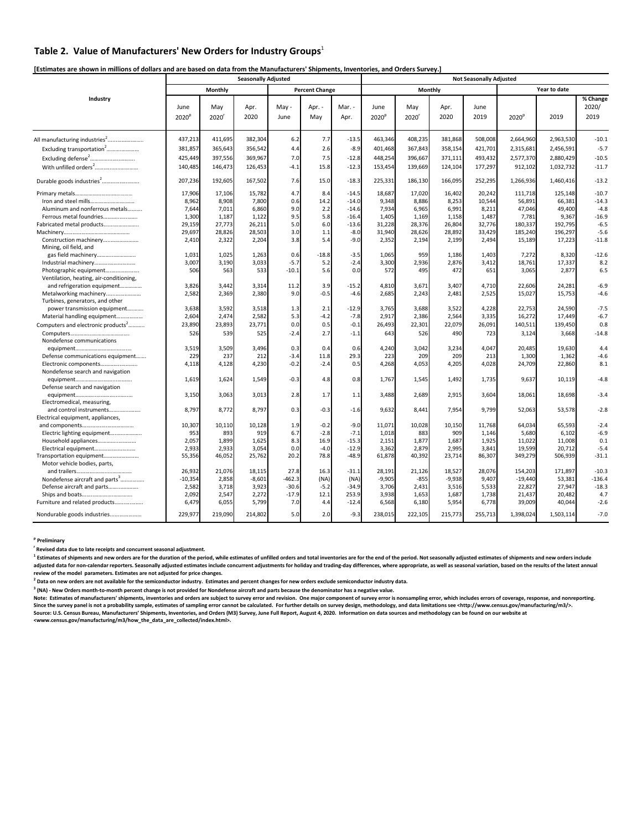# Table 2. Value of Manufacturers' New Orders for Industry Groups<sup>1</sup>

|                                                                   |                           |                | <b>Seasonally Adjusted</b> |               |                       |                |                           |                |              | <b>Not Seasonally Adjusted</b> |                   |              |                           |  |  |
|-------------------------------------------------------------------|---------------------------|----------------|----------------------------|---------------|-----------------------|----------------|---------------------------|----------------|--------------|--------------------------------|-------------------|--------------|---------------------------|--|--|
|                                                                   |                           | <b>Monthly</b> |                            |               | <b>Percent Change</b> |                |                           | <b>Monthly</b> |              |                                |                   | Year to date |                           |  |  |
| Industry                                                          | June<br>2020 <sup>k</sup> | May<br>2020    | Apr.<br>2020               | May -<br>June | Apr. -<br>May         | Mar. -<br>Apr. | June<br>2020 <sup>p</sup> | May<br>2020    | Apr.<br>2020 | June<br>2019                   | 2020 <sup>p</sup> | 2019         | % Change<br>2020/<br>2019 |  |  |
| All manufacturing industries <sup>2</sup>                         | 437,213                   | 411,695        | 382,304                    | 6.2           | 7.7                   | $-13.5$        | 463,346                   | 408,235        | 381,868      | 508,008                        | 2,664,960         | 2,963,530    | $-10.1$                   |  |  |
| Excluding transportation <sup>2</sup>                             | 381,857                   | 365,643        | 356,542                    | 4.4           | 2.6                   | $-8.9$         | 401,468                   | 367,843        | 358,154      | 421,701                        | 2,315,681         | 2,456,591    | $-5.7$                    |  |  |
| Excluding defense <sup>2</sup>                                    | 425,449                   | 397,556        | 369,967                    | 7.0           | 7.5                   | $-12.8$        | 448,254                   | 396,667        | 371,111      | 493,432                        | 2,577,370         | 2,880,429    | $-10.5$                   |  |  |
|                                                                   | 140,485                   | 146,473        | 126,453                    | $-4.1$        | 15.8                  | $-12.3$        | 153,454                   | 139,669        | 124,104      | 177,297                        | 912,102           | 1,032,732    | $-11.7$                   |  |  |
| Durable goods industries <sup>2</sup>                             | 207,236                   | 192,605        | 167,502                    | 7.6           | 15.0                  | $-18.3$        | 225,331                   | 186,130        | 166,095      | 252,295                        | 1,266,936         | 1,460,416    | $-13.2$                   |  |  |
|                                                                   | 17,906                    | 17,106         | 15,782                     | 4.7           | 8.4                   | $-14.5$        | 18,687                    | 17,020         | 16,402       | 20,242                         | 111,718           | 125,148      | $-10.7$                   |  |  |
|                                                                   | 8,962                     | 8,908          | 7,800                      | 0.6           | 14.2                  | $-14.0$        | 9,348                     | 8,886          | 8,253        | 10,544                         | 56,891            | 66,381       | $-14.3$                   |  |  |
| Aluminum and nonferrous metals                                    | 7,644                     | 7,011          | 6,860                      | 9.0           | 2.2                   | $-14.6$        | 7,934                     | 6,965          | 6,991        | 8,211                          | 47,046            | 49,400       | $-4.8$                    |  |  |
| Ferrous metal foundries                                           | 1,300                     | 1,187          | 1,122                      | 9.5           | 5.8                   | $-16.4$        | 1,405                     | 1,169          | 1,158        | 1,487                          | 7,781             | 9,367        | $-16.9$                   |  |  |
| Fabricated metal products                                         | 29,159                    | 27,773         | 26,211                     | 5.0           | 6.0                   | $-13.6$        | 31,228                    | 28,376         | 26,804       | 32,776                         | 180,337           | 192,795      | $-6.5$                    |  |  |
|                                                                   | 29,697                    | 28,826         | 28,503                     | 3.0           | 1.1                   | $-8.0$         | 31,940                    | 28,626         | 28,892       | 33,429                         | 185,240           | 196,297      | $-5.6$                    |  |  |
| Construction machinery                                            | 2,410                     | 2,322          | 2,204                      | 3.8           | 5.4                   | $-9.0$         | 2,352                     | 2,194          | 2,199        | 2,494                          | 15,189            | 17,223       | $-11.8$                   |  |  |
| Mining, oil field, and                                            |                           |                |                            |               |                       |                |                           |                |              |                                |                   |              |                           |  |  |
| gas field machinery                                               | 1,031                     | 1,025          | 1,263                      | 0.6           | $-18.8$               | $-3.5$         | 1,065                     | 959            | 1,186        | 1,403                          | 7,272             | 8,320        | $-12.6$                   |  |  |
| Industrial machinery                                              | 3,007                     | 3,190          | 3,033                      | $-5.7$        | 5.2<br>5.6            | $-2.4$         | 3,300                     | 2,936          | 2,876        | 3,412                          | 18,761            | 17,337       | 8.2                       |  |  |
| Photographic equipment<br>Ventilation, heating, air-conditioning, | 506                       | 563            | 533                        | $-10.1$       |                       | 0.0            | 572                       | 495            | 472          | 651                            | 3,065             | 2,877        | 6.5                       |  |  |
| and refrigeration equipment                                       | 3,826                     | 3,442          | 3,314                      | 11.2          | 3.9                   | $-15.2$        | 4,810                     | 3,671          | 3,407        | 4,710                          | 22,606            | 24,281       | $-6.9$                    |  |  |
| Metalworking machinery                                            | 2,582                     | 2,369          | 2,380                      | 9.0           | $-0.5$                | $-4.6$         | 2,685                     | 2,243          | 2,481        | 2,525                          | 15,027            | 15,753       | $-4.6$                    |  |  |
| Turbines, generators, and other                                   |                           |                |                            |               |                       |                |                           |                |              |                                |                   |              |                           |  |  |
| power transmission equipment                                      | 3,638                     | 3,592          | 3,518                      | 1.3           | 2.1                   | $-12.9$        | 3,765                     | 3,688          | 3,522        | 4,228                          | 22,753            | 24,590       | $-7.5$                    |  |  |
| Material handling equipment                                       | 2,604                     | 2,474          | 2,582                      | 5.3           | $-4.2$                | $-7.8$         | 2,917                     | 2,386          | 2,564        | 3,335                          | 16,272            | 17,449       | $-6.7$                    |  |  |
| Computers and electronic products <sup>2</sup>                    | 23,890                    | 23,893         | 23,771                     | 0.0           | 0.5                   | $-0.1$         | 26,493                    | 22,301         | 22,079       | 26,091                         | 140,511           | 139,450      | 0.8                       |  |  |
|                                                                   | 526                       | 539            | 525                        | $-2.4$        | 2.7                   | $-1.1$         | 643                       | 526            | 490          | 723                            | 3,124             | 3,668        | $-14.8$                   |  |  |
| Nondefense communications                                         |                           |                |                            |               |                       |                |                           |                |              |                                |                   |              |                           |  |  |
|                                                                   | 3,519                     | 3,509          | 3,496                      | 0.3           | 0.4                   | 0.6            | 4,240                     | 3,042          | 3,234        | 4,047                          | 20,485            | 19,630       | 4.4                       |  |  |
| Defense communications equipment                                  | 229                       | 237            | 212                        | $-3.4$        | 11.8                  | 29.3           | 223                       | 209            | 209          | 213                            | 1,300             | 1,362        | $-4.6$                    |  |  |
| Electronic components                                             | 4,118                     | 4,128          | 4,230                      | $-0.2$        | $-2.4$                | 0.5            | 4,268                     | 4,053          | 4,205        | 4,028                          | 24,709            | 22,860       | 8.1                       |  |  |
| Nondefense search and navigation                                  |                           |                |                            |               |                       |                |                           |                |              |                                |                   |              |                           |  |  |
|                                                                   | 1,619                     | 1,624          | 1,549                      | $-0.3$        | 4.8                   | 0.8            | 1,767                     | 1,545          | 1,492        | 1,735                          | 9,637             | 10,119       | $-4.8$                    |  |  |
| Defense search and navigation                                     |                           |                |                            |               |                       |                |                           |                |              |                                |                   |              |                           |  |  |
|                                                                   | 3,150                     | 3,063          | 3,013                      | 2.8           | 1.7                   | 1.1            | 3,488                     | 2,689          | 2,915        | 3,604                          | 18,061            | 18,698       | $-3.4$                    |  |  |
| Electromedical, measuring,                                        |                           |                |                            |               |                       |                |                           |                |              |                                |                   |              |                           |  |  |
| and control instruments                                           | 8,797                     | 8,772          | 8,797                      | 0.3           | $-0.3$                | $-1.6$         | 9,632                     | 8,441          | 7,954        | 9,799                          | 52,063            | 53,578       | $-2.8$                    |  |  |
| Electrical equipment, appliances,                                 |                           | 10,110         | 10,128                     |               | $-0.2$                | $-9.0$         | 11,071                    | 10,028         | 10,150       | 11,768                         | 64,034            | 65,593       | $-2.4$                    |  |  |
| Electric lighting equipment                                       | 10,307<br>953             | 893            | 919                        | 1.9<br>6.7    | $-2.8$                | $-7.1$         | 1,018                     | 883            | 909          | 1,146                          | 5,680             | 6,102        | $-6.9$                    |  |  |
| Household appliances                                              | 2,057                     | 1,899          | 1,625                      | 8.3           | 16.9                  | $-15.3$        | 2,151                     | 1,877          | 1,687        | 1,925                          | 11,022            | 11,008       | 0.1                       |  |  |
|                                                                   | 2,933                     | 2,933          | 3,054                      | 0.0           | $-4.0$                | $-12.9$        | 3,362                     | 2,879          | 2,995        | 3,841                          | 19,599            | 20,712       | $-5.4$                    |  |  |
| Transportation equipment                                          | 55,356                    | 46,052         | 25,762                     | 20.2          | 78.8                  | $-48.9$        | 61,878                    | 40,392         | 23,714       | 86,307                         | 349,279           | 506,939      | $-31.1$                   |  |  |
| Motor vehicle bodies, parts,                                      |                           |                |                            |               |                       |                |                           |                |              |                                |                   |              |                           |  |  |
|                                                                   | 26,932                    | 21,076         | 18,115                     | 27.8          | 16.3                  | $-31.1$        | 28,191                    | 21,126         | 18,527       | 28,076                         | 154,203           | 171,897      | $-10.3$                   |  |  |
| Nondefense aircraft and parts <sup>3</sup>                        | $-10,354$                 | 2,858          | $-8,601$                   | $-462.3$      | (NA)                  | (NA)           | $-9,905$                  | $-855$         | $-9,938$     | 9,407                          | $-19,440$         | 53,381       | $-136.4$                  |  |  |
| Defense aircraft and parts                                        | 2,582                     | 3,718          | 3,923                      | $-30.6$       | $-5.2$                | $-34.9$        | 3,706                     | 2,431          | 3,516        | 5,533                          | 22,827            | 27,947       | $-18.3$                   |  |  |
|                                                                   | 2,092                     | 2,547          | 2,272                      | $-17.9$       | 12.1                  | 253.9          | 3,938                     | 1,653          | 1,687        | 1,738                          | 21,437            | 20,482       | 4.7                       |  |  |
| Furniture and related products                                    | 6,479                     | 6,055          | 5,799                      | 7.0           | 4.4                   | $-12.4$        | 6,568                     | 6,180          | 5,954        | 6,778                          | 39,009            | 40,044       | $-2.6$                    |  |  |
| Nondurable goods industries                                       | 229,977                   | 219,090        | 214,802                    | 5.0           | 2.0                   | $-9.3$         | 238,015                   | 222,105        | 215,773      | 255,713                        | 1,398,024         | 1,503,114    | $-7.0$                    |  |  |

 $^1$  Estimates of shipments and new orders are for the duration of the period, while estimates of unfilled orders and total inventories are for the end of the period. Not seasonally adjusted estimates of shipments and new adjusted data for non-calendar reporters. Seasonally adjusted estimates include concurrent adjustments for holiday and trading-day differences, where appropriate, as well as seasonal variation, based on the results of the **review of the model parameters. Estimates are not adjusted for price changes.** 

<sup>2</sup> Data on new orders are not available for the semiconductor industry. Estimates and percent changes for new orders exclude semiconductor industry data.

<sup>3</sup> (NA) - New Orders month-to-month percent change is not provided for Nondefense aircraft and parts because the denominator has a negative value.

Note: Estimates of manufacturers' shipments, inventories and orders are subject to survey error and revision. One major component of survey error is nonsampling error, which includes errors of coverage, response, and nonre Since the survey panel is not a probability sample, estimates of sampling error cannot be calculated. For further details on survey design, methodology, and data limitations see <http://www.census.gov/manufacturing/m3/>. Source: U.S. Census Bureau, Manufacturers' Shipments, Inventories, and Orders (M3) Survey, June Full Report, August 4, 2020. Information on data sources and methodology can be found on our website at **<www.census.gov/manufacturing/m3/how\_the\_data\_are\_collected/index.html>.** 

**p Preliminary** 

**r Revised data due to late receipts and concurrent seasonal adjustment.**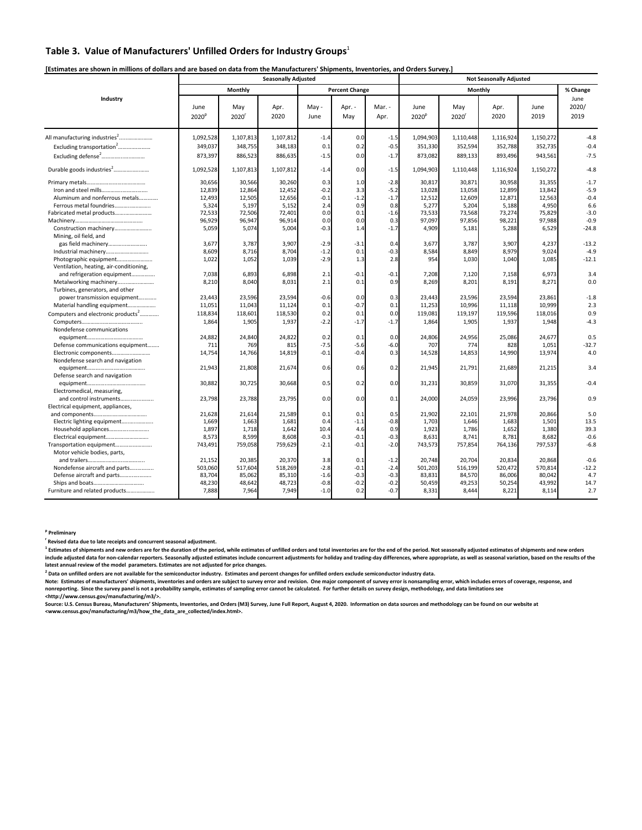# Table 3. Value of Manufacturers' Unfilled Orders for Industry Groups<sup>1</sup>

|                                                                   |                           |                | <b>Seasonally Adjusted</b> |                  |                       |                  | <b>Not Seasonally Adjusted</b> |             |                |              |                       |  |  |
|-------------------------------------------------------------------|---------------------------|----------------|----------------------------|------------------|-----------------------|------------------|--------------------------------|-------------|----------------|--------------|-----------------------|--|--|
|                                                                   |                           | <b>Monthly</b> |                            |                  | <b>Percent Change</b> |                  |                                |             | <b>Monthly</b> |              | % Change              |  |  |
| Industry                                                          | June<br>2020 <sup>p</sup> | May<br>2020    | Apr.<br>2020               | May -<br>June    | Apr. -<br>May         | Mar. -<br>Apr.   | June<br>2020 <sup>p</sup>      | May<br>2020 | Apr.<br>2020   | June<br>2019 | June<br>2020/<br>2019 |  |  |
|                                                                   | 1,092,528                 | 1,107,813      | 1,107,812                  | $-1.4$           | 0.0                   | $-1.5$           | 1,094,903                      | 1,110,448   | 1,116,924      | 1,150,272    | $-4.8$                |  |  |
| Excluding transportation <sup>2</sup>                             | 349,037                   | 348,755        | 348,183                    | 0.1              | 0.2                   | $-0.5$           | 351,330                        | 352,594     | 352,788        | 352,735      | $-0.4$                |  |  |
| Excluding defense <sup>2</sup>                                    | 873,397                   | 886,523        | 886,635                    | $-1.5$           | 0.0                   | $-1.7$           | 873,082                        | 889,133     | 893,496        | 943,561      | $-7.5$                |  |  |
| Durable goods industries <sup>2</sup>                             | 1,092,528                 | 1,107,813      | 1,107,812                  | $-1.4$           | 0.0                   | $-1.5$           | 1,094,903                      | 1,110,448   | 1,116,924      | 1,150,272    | $-4.8$                |  |  |
|                                                                   | 30,656                    | 30,566         | 30,260                     | 0.3              | 1.0                   | $-2.8$           | 30,817                         | 30,871      | 30,958         | 31,355       | $-1.7$                |  |  |
| Iron and steel mills                                              | 12,839                    | 12,864         | 12,452                     | $-0.2$           | 3.3                   | $-5.2$           | 13,028                         | 13,058      | 12,899         | 13,842       | $-5.9$                |  |  |
| Aluminum and nonferrous metals                                    | 12,493                    | 12,505         | 12,656                     | $-0.1$           | $-1.2$                | $-1.7$           | 12,512                         | 12,609      | 12,871         | 12,563       | $-0.4$                |  |  |
| Ferrous metal foundries                                           | 5,324                     | 5,197          | 5,152                      | 2.4              | 0.9                   | 0.8              | 5,277                          | 5,204       | 5,188          | 4,950        | 6.6                   |  |  |
| Fabricated metal products                                         | 72,533                    | 72,506         | 72,401                     | 0.0              | 0.1                   | $-1.6$           | 73,533                         | 73,568      | 73,274         | 75,829       | $-3.0$                |  |  |
|                                                                   | 96,929                    | 96,947         | 96,914                     | 0.0              | 0.0                   | 0.3              | 97,097                         | 97,856      | 98,221         | 97,988       | $-0.9$                |  |  |
| Construction machinery<br>Mining, oil field, and                  | 5,059                     | 5,074          | 5,004                      | $-0.3$           | 1.4                   | $-1.7$           | 4,909                          | 5,181       | 5,288          | 6,529        | $-24.8$               |  |  |
| gas field machinery                                               | 3,677                     | 3,787          | 3,907                      | $-2.9$           | $-3.1$                | 0.4              | 3,677                          | 3,787       | 3,907          | 4,237        | $-13.2$               |  |  |
|                                                                   | 8,609                     | 8,716          | 8,704                      | $-1.2$           | 0.1                   | $-0.3$           | 8,584                          | 8,849       | 8,979          | 9,024        | $-4.9$                |  |  |
| Photographic equipment<br>Ventilation, heating, air-conditioning, | 1,022                     | 1,052          | 1,039                      | $-2.9$           | 1.3                   | 2.8              | 954                            | 1,030       | 1,040          | 1,085        | $-12.1$               |  |  |
| and refrigeration equipment                                       | 7,038                     | 6,893          | 6,898                      | 2.1              | $-0.1$                | $-0.1$           | 7,208                          | 7,120       | 7,158          | 6,973        | 3.4                   |  |  |
| Metalworking machinery                                            | 8,210                     | 8,040          | 8,031                      | 2.1              | 0.1                   | 0.9              | 8,269                          | 8,201       | 8,191          | 8,271        | 0.0                   |  |  |
| Turbines, generators, and other                                   |                           |                |                            |                  |                       |                  |                                |             |                |              |                       |  |  |
| power transmission equipment                                      | 23,443                    | 23,596         | 23,594                     | $-0.6$           | 0.0                   | 0.3              | 23,443                         | 23,596      | 23,594         | 23,861       | $-1.8$                |  |  |
| Material handling equipment                                       | 11,051                    | 11,043         | 11,124                     | 0.1              | $-0.7$                | 0.1              | 11,253                         | 10,996      | 11,118         | 10,999       | 2.3                   |  |  |
| Computers and electronic products <sup>2</sup>                    | 118,834                   | 118,601        | 118,530                    | 0.2              | 0.1                   | 0.0              | 119,081                        | 119,197     | 119,596        | 118,016      | 0.9                   |  |  |
|                                                                   | 1,864                     | 1,905          | 1,937                      | $-2.2$           | $-1.7$                | $-1.7$           | 1,864                          | 1,905       | 1,937          | 1,948        | $-4.3$                |  |  |
| Nondefense communications                                         |                           |                |                            |                  |                       |                  |                                |             |                |              |                       |  |  |
|                                                                   | 24,882                    | 24,840         | 24,822                     | 0.2              | 0.1                   | 0.0              | 24,806                         | 24,956      | 25,086         | 24,677       | 0.5                   |  |  |
| Defense communications equipment                                  | 711                       | 769            | 815                        | $-7.5$           | $-5.6$                | $-6.0$           | 707                            | 774         | 828            | 1,051        | $-32.7$               |  |  |
| Electronic components                                             | 14,754                    | 14,766         | 14,819                     | $-0.1$           | $-0.4$                | 0.3              | 14,528                         | 14,853      | 14,990         | 13,974       | 4.0                   |  |  |
| Nondefense search and navigation                                  |                           |                |                            |                  |                       |                  |                                |             |                |              |                       |  |  |
|                                                                   | 21,943                    | 21,808         | 21,674                     | 0.6              | 0.6                   | 0.2              | 21,945                         | 21,791      | 21,689         | 21,215       | 3.4                   |  |  |
| Defense search and navigation                                     |                           |                |                            |                  |                       |                  |                                |             |                |              |                       |  |  |
|                                                                   | 30,882                    | 30,725         | 30,668                     | 0.5              | 0.2                   | 0.0              | 31,231                         | 30,859      | 31,070         | 31,355       | $-0.4$                |  |  |
| Electromedical, measuring,                                        |                           |                |                            |                  |                       |                  |                                |             |                |              |                       |  |  |
| and control instruments                                           | 23,798                    | 23,788         | 23,795                     | 0.0              | 0.0                   | 0.1              | 24,000                         | 24,059      | 23,996         | 23,796       | 0.9                   |  |  |
| Electrical equipment, appliances,                                 |                           |                |                            |                  |                       |                  |                                |             |                |              |                       |  |  |
|                                                                   | 21,628                    | 21,614         | 21,589                     | 0.1              | 0.1                   | 0.5              | 21,902                         | 22,101      | 21,978         | 20,866       | 5.0                   |  |  |
| Electric lighting equipment                                       | 1,669                     | 1,663          | 1,681                      | 0.4              | $-1.1$                | $-0.8$           | 1,703                          | 1,646       | 1,683          | 1,501        | 13.5                  |  |  |
|                                                                   | 1,897                     | 1,718          | 1,642                      | 10.4             | 4.6                   | 0.9              | 1,923                          | 1,786       | 1,652          | 1,380        | 39.3                  |  |  |
|                                                                   |                           |                | 8,608                      |                  | $-0.1$                | $-0.3$           |                                |             |                | 8,682        | $-0.6$                |  |  |
|                                                                   | 8,573                     | 8,599          |                            | $-0.3$<br>$-2.1$ | $-0.1$                | $-2.0$           | 8,631                          | 8,741       | 8,781          |              | $-6.8$                |  |  |
| Transportation equipment                                          | 743,491                   | 759,058        | 759,629                    |                  |                       |                  | 743,573                        | 757,854     | 764,136        | 797,537      |                       |  |  |
| Motor vehicle bodies, parts,                                      |                           | 20,385         | 20,370                     | 3.8              | 0.1                   |                  | 20,748                         | 20,704      | 20,834         | 20,868       | $-0.6$                |  |  |
| Nondefense aircraft and parts                                     | 21,152<br>503,060         | 517,604        | 518,269                    | $-2.8$           | $-0.1$                | $-1.2$<br>$-2.4$ |                                | 516,199     | 520,472        | 570,814      | $-12.2$               |  |  |
|                                                                   |                           |                |                            |                  |                       |                  | 501,203                        |             |                |              | 4.7                   |  |  |
| Defense aircraft and parts                                        | 83,704                    | 85,062         | 85,310                     | $-1.6$           | $-0.3$                | $-0.3$           | 83,831                         | 84,570      | 86,006         | 80,042       |                       |  |  |
|                                                                   | 48,230                    | 48,642         | 48,723                     | $-0.8$           | $-0.2$                | $-0.2$           | 50,459                         | 49,253      | 50,254         | 43,992       | 14.7                  |  |  |
| Furniture and related products                                    | 7,888                     | 7,964          | 7,949                      | $-1.0$           | 0.2                   | $-0.7$           | 8,331                          | 8,444       | 8,221          | 8,114        | 2.7                   |  |  |

 $^1$  Estimates of shipments and new orders are for the duration of the period, while estimates of unfilled orders and total inventories are for the end of the period. Not seasonally adjusted estimates of shipments and new include adjusted data for non-calendar reporters. Seasonally adjusted estimates include concurrent adjustments for holiday and trading-day differences, where appropriate, as well as seasonal variation, based on the results **latest annual review of the model parameters. Estimates are not adjusted for price changes.** 

<sup>2</sup> Data on unfilled orders are not available for the semiconductor industry. Estimates and percent changes for unfilled orders exclude semiconductor industry data.

Source: U.S. Census Bureau, Manufacturers' Shipments, Inventories, and Orders (M3) Survey, June Full Report, August 4, 2020. Information on data sources and methodology can be found on our website at **<www.census.gov/manufacturing/m3/how\_the\_data\_are\_collected/index.html>.**

**p Preliminary** 

**r Revised data due to late receipts and concurrent seasonal adjustment.** 

**Note: Estimates of manufacturers' shipments, inventories and orders are subject to survey error and revision. One major component of survey error is nonsampling error, which includes errors of coverage, response, and nonreporting. Since the survey panel is not a probability sample, estimates of sampling error cannot be calculated. For further details on survey design, methodology, and data limitations see <http://www.census.gov/manufacturing/m3/>.**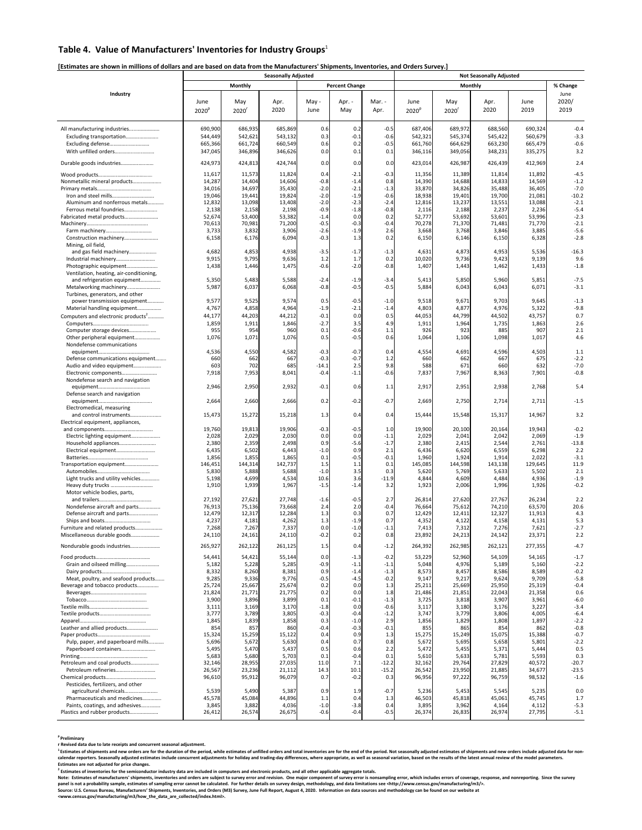# Table 4. Value of Manufacturers' Inventories for Industry Groups<sup>1</sup>

|                                                                   |                           |                  | <b>Seasonally Adjusted</b> |                  |                       |                    |                           |                       | <b>Not Seasonally Adjusted</b> |                  |                       |
|-------------------------------------------------------------------|---------------------------|------------------|----------------------------|------------------|-----------------------|--------------------|---------------------------|-----------------------|--------------------------------|------------------|-----------------------|
|                                                                   |                           | <b>Monthly</b>   |                            |                  | <b>Percent Change</b> |                    |                           |                       | <b>Monthly</b>                 |                  | % Change              |
| Industry                                                          | June<br>2020 <sup>p</sup> | May<br>2020      | Apr.<br>2020               | May -<br>June    | Apr. -<br>May         | Mar. -<br>Apr.     | June<br>2020 <sup>p</sup> | May<br>$2020^{\circ}$ | Apr.<br>2020                   | June<br>2019     | June<br>2020/<br>2019 |
|                                                                   |                           |                  |                            |                  |                       |                    |                           |                       |                                |                  |                       |
|                                                                   | 690,900                   | 686,935          | 685,869                    | 0.6              | 0.2                   | $-0.5$             | 687,406                   | 689,972               | 688,560                        | 690,324          | $-0.4$                |
| Excluding transportation                                          | 544,449                   | 542,621          | 543,132                    | 0.3              | $-0.1$                | $-0.6$             | 542,321                   | 545,374               | 545,422                        | 560,679          | $-3.3$                |
| Excluding defense                                                 | 665,366                   | 661,724          | 660,549                    | 0.6              | 0.2                   | $-0.5$             | 661,760                   | 664,629               | 663,230                        | 665,479          | $-0.6$                |
| With unfilled orders                                              | 347,045                   | 346,896          | 346,626                    | 0.0              | 0.1                   | 0.1                | 346,116                   | 349,056               | 348,231                        | 335,275          | 3.2                   |
| Durable goods industries                                          | 424,973                   | 424,813          | 424,744                    | 0.0              | 0.0                   | 0.0                | 423,014                   | 426,987               | 426,439                        | 412,969          | 2.4                   |
|                                                                   | 11,617                    | 11,573           | 11,824                     | 0.4              | $-2.1$                | $-0.3$             | 11,356                    | 11,389                | 11,814                         | 11,892           | $-4.5$                |
| Nonmetallic mineral products                                      | 14,287                    | 14,404           | 14,606                     | $-0.8$           | $-1.4$                | 0.8                | 14,390                    | 14,688                | 14,833                         | 14,569           | $-1.2$                |
|                                                                   | 34,016                    | 34,697           | 35,430                     | $-2.0$           | $-2.1$                | $-1.3$             | 33,870                    | 34,826                | 35,488                         | 36,405           | $-7.0$                |
| Aluminum and nonferrous metals                                    | 19,046                    | 19,441           | 19,824                     | $-2.0$           | $-1.9$                | $-0.6$             | 18,938                    | 19,401                | 19,700                         | 21,081           | $-10.2$               |
| Ferrous metal foundries                                           | 12,832<br>2,138           | 13,098<br>2,158  | 13,408<br>2,198            | $-2.0$<br>$-0.9$ | $-2.3$<br>$-1.8$      | $-2.4$<br>$-0.8$   | 12,816<br>2,116           | 13,237<br>2,188       | 13,551<br>2,237                | 13,088<br>2,236  | $-2.1$<br>$-5.4$      |
| Fabricated metal products                                         | 52,674                    | 53,400           | 53,382                     | $-1.4$           | 0.0                   | 0.2                | 52,777                    | 53,692                | 53,601                         | 53,996           | $-2.3$                |
|                                                                   | 70,613                    | 70,981           | 71,200                     | $-0.5$           | $-0.3$                | $-0.4$             | 70,278                    | 71,370                | 71,481                         | 71,770           | $-2.1$                |
|                                                                   | 3,733                     | 3,832            | 3,906                      | $-2.6$           | $-1.9$                | 2.6                | 3,668                     | 3,768                 | 3,846                          | 3,885            | $-5.6$                |
| Construction machinery                                            | 6,158                     | 6,176            | 6,094                      | $-0.3$           | 1.3                   | 0.2                | 6,150                     | 6,146                 | 6,150                          | 6,328            | $-2.8$                |
| Mining, oil field,                                                |                           |                  |                            |                  |                       |                    |                           |                       |                                |                  |                       |
| and gas field machinery                                           | 4,682                     | 4,853            | 4,938                      | $-3.5$           | $-1.7$                | $-1.3$             | 4,631                     | 4,873                 | 4,953                          | 5,536            | $-16.3$               |
|                                                                   | 9,915                     | 9,795            | 9,636                      | 1.2              | 1.7                   | 0.2                | 10,020                    | 9,736                 | 9,423                          | 9,139            | 9.6                   |
| Photographic equipment<br>Ventilation, heating, air-conditioning, | 1,438                     | 1,446            | 1,475                      | $-0.6$           | $-2.0$                | $-0.8$             | 1,407                     | 1,443                 | 1,462                          | 1,433            | $-1.8$                |
| and refrigeration equipment                                       | 5,350                     | 5,483            | 5,588                      | $-2.4$           | $-1.9$                | $-3.4$             | 5,413                     | 5,850                 | 5,960                          | 5,851            | $-7.5$                |
| Metalworking machinery                                            | 5,987                     | 6,037            | 6,068                      | $-0.8$           | $-0.5$                | $-0.5$             | 5,884                     | 6,043                 | 6,043                          | 6,071            | $-3.1$                |
| Turbines, generators, and other                                   |                           |                  |                            |                  |                       |                    |                           |                       |                                |                  |                       |
| power transmission equipment                                      | 9,577                     | 9,525            | 9,574                      | 0.5              | $-0.5$                | $-1.0$             | 9,518                     | 9,671                 | 9,703                          | 9,645            | $-1.3$                |
| Material handling equipment                                       | 4,767                     | 4,858            | 4,964                      | $-1.9$           | $-2.1$                | $-1.4$             | 4,803                     | 4,877                 | 4,976                          | 5,322            | $-9.8$                |
| Computers and electronic products <sup>2</sup>                    | 44,177                    | 44,203           | 44,212                     | $-0.1$           | 0.0                   | 0.5                | 44,053                    | 44,799                | 44,502                         | 43,757           | 0.7                   |
|                                                                   | 1,859                     | 1,911            | 1,846                      | $-2.7$           | 3.5                   | 4.9                | 1,911                     | 1,964                 | 1,735                          | 1,863            | 2.6                   |
| Computer storage devices                                          | 955                       | 954              | 960                        | 0.1              | $-0.6$                | 1.1                | 926                       | 923                   | 885                            | 907              | 2.1                   |
| Other peripheral equipment                                        | 1,076                     | 1,071            | 1,076                      | 0.5              | $-0.5$                | 0.6                | 1,064                     | 1,106                 | 1,098                          | 1,017            | 4.6                   |
| Nondefense communications                                         | 4,536                     | 4,550            | 4,582                      | $-0.3$           | $-0.7$                | 0.4                | 4,554                     | 4,691                 | 4,596                          | 4,503            | 1.1                   |
| Defense communications equipment                                  | 660                       | 662              | 667                        | $-0.3$           | $-0.7$                | 1.2                | 660                       | 662                   | 667                            | 675              | $-2.2$                |
| Audio and video equipment                                         | 603                       | 702              | 685                        | $-14.1$          | 2.5                   | 9.8                | 588                       | 671                   | 660                            | 632              | $-7.0$                |
| Electronic components                                             | 7,918                     | 7,953            | 8,041                      | $-0.4$           | $-1.1$                | $-0.6$             | 7,837                     | 7,967                 | 8,363                          | 7,901            | $-0.8$                |
| Nondefense search and navigation                                  |                           |                  |                            |                  |                       |                    |                           |                       |                                |                  |                       |
|                                                                   | 2,946                     | 2,950            | 2,932                      | $-0.1$           | 0.6                   | 1.1                | 2,917                     | 2,951                 | 2,938                          | 2,768            | 5.4                   |
| Defense search and navigation                                     |                           |                  |                            |                  |                       |                    |                           |                       |                                |                  |                       |
|                                                                   | 2,664                     | 2,660            | 2,666                      | 0.2              | $-0.2$                | $-0.7$             | 2,669                     | 2,750                 | 2,714                          | 2,711            | $-1.5$                |
| Electromedical, measuring                                         |                           |                  |                            |                  |                       |                    |                           |                       |                                |                  |                       |
| and control instruments<br>Electrical equipment, appliances,      | 15,473                    | 15,272           | 15,218                     | 1.3              | 0.4                   | 0.4                | 15,444                    | 15,548                | 15,317                         | 14,967           | 3.2                   |
|                                                                   | 19,760                    | 19,813           | 19,906                     | $-0.3$           | $-0.5$                | 1.0                | 19,900                    | 20,100                | 20,164                         | 19,943           | $-0.2$                |
| Electric lighting equipment                                       | 2,028                     | 2,029            | 2,030                      | 0.0              | 0.0                   | $-1.1$             | 2,029                     | 2,041                 | 2,042                          | 2,069            | $-1.9$                |
| Household appliances                                              | 2,380                     | 2,359            | 2,498                      | 0.9              | $-5.6$                | $-1.7$             | 2,380                     | 2,415                 | 2,544                          | 2,761            | $-13.8$               |
|                                                                   | 6,435                     | 6,502            | 6,443                      | $-1.0$           | 0.9                   | 2.1                | 6,436                     | 6,620                 | 6,559                          | 6,298            | 2.2                   |
|                                                                   | 1,856                     | 1,855            | 1,865                      | 0.1              | $-0.5$                | $-0.1$             | 1,960                     | 1,924                 | 1,914                          | 2,022            | $-3.1$                |
| Transportation equipment                                          | 146,451                   | 144,314          | 142,737                    | 1.5              | 1.1                   | 0.1                | 145,085                   | 144,598               | 143,138                        | 129,645          | 11.9                  |
| Light trucks and utility vehicles                                 | 5,830<br>5,198            | 5,888<br>4,699   | 5,688<br>4,534             | $-1.0$<br>10.6   | 3.5<br>3.6            | 0.3<br>$-11.9$     | 5,620<br>4,844            | 5,769<br>4,609        | 5,633<br>4,484                 | 5,502<br>4,936   | 2.1<br>$-1.9$         |
|                                                                   | 1,910                     | 1,939            | 1,967                      | $-1.5$           | $-1.4$                | 3.2                | 1,923                     | 2,006                 | 1,996                          | 1,926            | $-0.2$                |
| Motor vehicle bodies, parts,                                      |                           |                  |                            |                  |                       |                    |                           |                       |                                |                  |                       |
|                                                                   | 27,192                    | 27,621           | 27,748                     | $-1.6$           | $-0.5$                | 2.7                | 26,814                    | 27,620                | 27,767                         | 26,234           | 2.2                   |
| Nondefense aircraft and parts                                     | 76,913                    | 75,136           | 73,668                     | 2.4              | 2.0                   | $-0.4$             | 76,664                    | 75,612                | 74,210                         | 63,570           | 20.6                  |
| Defense aircraft and parts                                        | 12,479                    | 12,317           | 12.284                     | 1.3              | 0.3                   | 0.7                | 12,429                    | 12,411                | 12.327                         | 11.913           | 4.3                   |
|                                                                   | 4,237                     | 4,181            | 4,262                      | 1.3              | $-1.9$                | 0.7                | 4,352                     | 4,122                 | 4,158                          | 4,131            | 5.3                   |
| Furniture and related products<br>Miscellaneous durable goods     | 7,268<br>24,110           | 7,267<br>24,161  | 7,337<br>24,110            | 0.0<br>$-0.2$    | $-1.0$<br>0.2         | $-1.1$<br>0.8      | 7,413<br>23,892           | 7,312<br>24,213       | 7,276<br>24,142                | 7,621<br>23,371  | $-2.7$<br>2.2         |
|                                                                   |                           |                  |                            |                  |                       |                    |                           |                       |                                |                  |                       |
| Nondurable goods industries                                       | 265,927                   | 262,122          | 261,125                    | 1.5              | 0.4                   | $-1.2$             | 264,392                   | 262,985               | 262,121                        | 277,355          | $-4.7$                |
|                                                                   | 54,441                    | 54,421           | 55,144                     | 0.0              | $-1.3$                | $-0.2$             | 53,229                    | 52,960                | 54,109                         | 54,165           | $-1.7$                |
| Grain and oilseed milling                                         | 5,182                     | 5,228            | 5,285                      | $-0.9$           | $-1.1$                | $-1.1$             | 5,048                     | 4,976                 | 5,189                          | 5,160            | $-2.2$                |
|                                                                   | 8,332                     | 8,260            | 8,381                      | 0.9              | $-1.4$                | $-1.3$             | 8,573                     | 8,457                 | 8,586                          | 8,589            | $-0.2$                |
| Meat, poultry, and seafood products                               | 9,285                     | 9,336            | 9,776                      | $-0.5$           | $-4.5$                | $-0.2$             | 9,147                     | 9,217                 | 9,624                          | 9,709            | $-5.8$                |
| Beverage and tobacco products                                     | 25,724                    | 25,667           | 25,674                     | 0.2              | 0.0                   | 1.3                | 25,211                    | 25,669                | 25,950                         | 25,319           | $-0.4$                |
|                                                                   | 21,824                    | 21,771           | 21,775                     | 0.2              | 0.0                   | 1.8                | 21,486                    | 21,851                | 22,043                         | 21,358           | 0.6                   |
|                                                                   | 3,900                     | 3,896            | 3,899                      | 0.1              | $-0.1$<br>0.0         | $-1.3$<br>$-0.6$   | 3,725                     | 3,818<br>3,180        | 3,907                          | 3,961<br>3,227   | $-6.0$<br>$-3.4$      |
|                                                                   | 3,111<br>3,777            | 3,169<br>3,789   | 3,170<br>3,805             | $-1.8$<br>$-0.3$ | $-0.4$                | $-1.2$             | 3,117<br>3,747            | 3,779                 | 3,176<br>3,806                 | 4,005            | $-6.4$                |
|                                                                   | 1,845                     | 1,839            | 1,858                      | 0.3              | $-1.0$                | 2.9                | 1,856                     | 1,829                 | 1,808                          | 1,897            | $-2.2$                |
| Leather and allied products                                       | 854                       | 857              | 860                        | $-0.4$           | $-0.3$                | $-0.1$             | 855                       | 865                   | 854                            | 862              | $-0.8$                |
|                                                                   | 15,324                    | 15,259           | 15,122                     | 0.4              | 0.9                   | 1.3                | 15,275                    | 15,249                | 15,075                         | 15,388           | $-0.7$                |
| Pulp, paper, and paperboard mills                                 | 5,696                     | 5,672            | 5,630                      | 0.4              | 0.7                   | 0.8                | 5,672                     | 5,695                 | 5,658                          | 5,801            | $-2.2$                |
| Paperboard containers                                             | 5,495                     | 5,470            | 5,437                      | 0.5              | 0.6                   | 2.2                | 5,472                     | 5,455                 | 5,371                          | 5,444            | 0.5                   |
|                                                                   | 5,683                     | 5,680            | 5,703                      | 0.1              | $-0.4$                | 0.1                | 5,610                     | 5,633                 | 5,781                          | 5,593            | 0.3                   |
| Petroleum and coal products<br>Petroleum refineries               | 32,146                    | 28,955           | 27,035                     | 11.0<br>14.3     | 7.1<br>10.1           | $-12.2$<br>$-15.2$ | 32,162                    | 29,764                | 27,829                         | 40,572           | $-20.7$<br>$-23.5$    |
|                                                                   | 26,567<br>96,610          | 23,236<br>95,912 | 21,112<br>96,079           | 0.7              | $-0.2$                | 0.3                | 26,542<br>96,956          | 23,950<br>97,222      | 21,885<br>96,759               | 34,677<br>98,532 | $-1.6$                |
| Pesticides, fertilizers, and other                                |                           |                  |                            |                  |                       |                    |                           |                       |                                |                  |                       |
| agricultural chemicals                                            | 5,539                     | 5,490            | 5,387                      | 0.9              | 1.9                   | $-0.7$             | 5,236                     | 5,453                 | 5,545                          | 5,235            | 0.0                   |
| Pharmaceuticals and medicines                                     | 45,578                    | 45,084           | 44,896                     | 1.1              | 0.4                   | 1.3                | 46,503                    | 45,818                | 45,061                         | 45,745           | 1.7                   |
| Paints, coatings, and adhesives                                   | 3,845                     | 3,882            | 4,036                      | $-1.0$           | $-3.8$                | 0.4                | 3,895                     | 3,962                 | 4,164                          | 4,112            | $-5.3$                |
| Plastics and rubber products                                      | 26,412                    | 26,574           | 26,675                     | $-0.6$           | $-0.4$                | $-0.5$             | 26,374                    | 26,835                | 26,974                         | 27,795           | $-5.1$                |

**[Estimates are shown in millions of dollars and are based on data from the Manufacturers' Shipments, Inventories, and Orders Survey.]** 

<sup>1</sup> Estimates of shipments and new orders are for the duration of the period, while estimates of unfilled orders and total inventories are for the end of the period. Not seasonally adjusted estimates of shipments and new o calendar reporters. Seasonally adjusted estimates include concurrent adjustments for holiday and trading-day differences, where appropriate, as well as seasonal variation, based on the results of the latest annual review o **Estimates are not adjusted for price changes.** 

Source: U.S. Census Bureau, Manufacturers' Shipments, Inventories, and Orders (M3) Survey, June Full Report, August 4, 2020. Information on data sources and methodology can be found on our website at **<www.census.gov/manufacturing/m3/how\_the\_data\_are\_collected/index.html>.** 

**p Preliminary** 

**r Revised data due to late receipts and concurrent seasonal adjustment.** 

**2 Estimates of inventories for the semiconductor industry data are included in computers and electronic products, and all other applicable aggregate totals.** 

Note: Estimates of manufacturers' shipments, inventories and orders are subject to survey error and revision. One major component of survey error is nonsampling error, which includes errors of coverage, response, and nonre panel is not a probability sample, estimates of sampling error cannot be calculated. For further details on survey design, methodology, and data limitations see <http://www.census.gov/manufacturing/m3/>.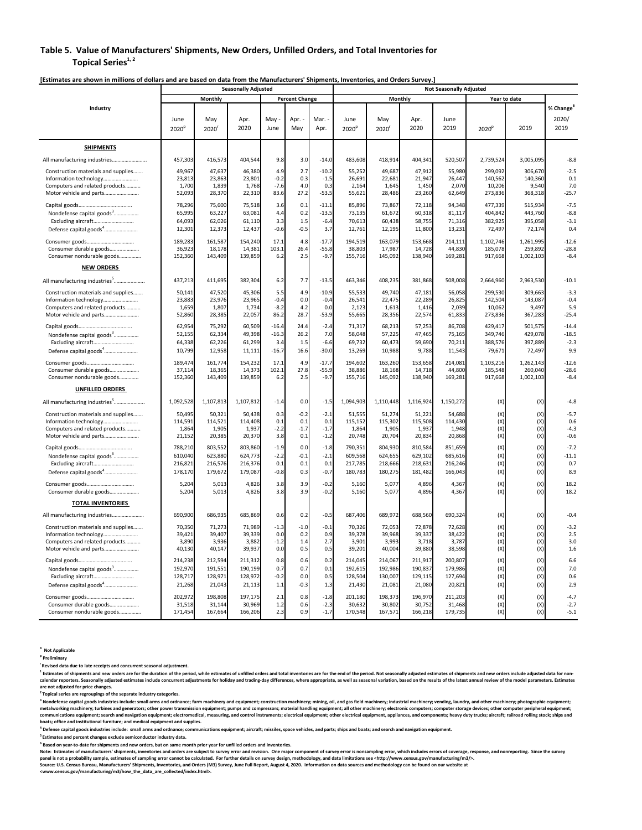## **Table 5. Value of Manufacturers' Shipments, New Orders, Unfilled Orders, and Total Inventories for Topical Series**<sup>1, 2</sup>

|                                                                                  |                    |                    | <b>Seasonally Adjusted</b> |                    |                       |                    | <b>Not Seasonally Adjusted</b> |                    |                    |                    |                      |                      |                       |
|----------------------------------------------------------------------------------|--------------------|--------------------|----------------------------|--------------------|-----------------------|--------------------|--------------------------------|--------------------|--------------------|--------------------|----------------------|----------------------|-----------------------|
|                                                                                  |                    | <b>Monthly</b>     |                            |                    | <b>Percent Change</b> |                    |                                | <b>Monthly</b>     |                    |                    |                      | Year to date         |                       |
| Industry                                                                         |                    |                    |                            |                    |                       |                    |                                |                    |                    |                    |                      |                      | % Change <sup>6</sup> |
|                                                                                  | June               | May                | Apr.                       | May                | Apr. -                | Mar. -             | June                           | May                | Apr.               | June               |                      |                      | 2020/                 |
|                                                                                  | 2020 <sup>p</sup>  | 2020 <sup>r</sup>  | 2020                       | June               | May                   | Apr.               | 2020 <sup>p</sup>              | $2020^{\circ}$     | 2020               | 2019               | 2020 <sup>p</sup>    | 2019                 | 2019                  |
| <b>SHIPMENTS</b>                                                                 |                    |                    |                            |                    |                       |                    |                                |                    |                    |                    |                      |                      |                       |
| All manufacturing industries                                                     | 457,303            | 416,573            | 404,544                    | 9.8                | 3.0                   | $-14.0$            | 483,608                        | 418,914            | 404,341            | 520,507            | 2,739,524            | 3,005,095            | $-8.8$                |
| Construction materials and supplies                                              | 49,967             | 47,637             | 46,380                     | 4.9                | 2.7                   | $-10.2$            | 55,252                         | 49,687             | 47,912             | 55,980             | 299,092              | 306,670              | $-2.5$                |
|                                                                                  | 23,813             | 23,863             | 23,801                     | $-0.2$             | 0.3                   | $-1.5$             | 26,691                         | 22,681             | 21,947             | 26,447             | 140,562              | 140,360              | 0.1                   |
| Computers and related products                                                   | 1,700              | 1,839              | 1,768                      | $-7.6$             | 4.0                   | 0.3                | 2,164                          | 1,645              | 1,450              | 2,070              | 10,206               | 9,540                | 7.0                   |
|                                                                                  | 52,093             | 28,370             | 22,310                     | 83.6               | 27.2                  | $-53.5$            | 55,621                         | 28,486             | 23,260             | 62,649             | 273,836              | 368,318              | $-25.7$               |
| Nondefense capital goods <sup>3</sup>                                            | 78,296<br>65,995   | 75,600<br>63,227   | 75,518<br>63,081           | 3.6<br>4.4         | 0.1<br>0.2            | $-11.1$<br>$-13.5$ | 85,896<br>73,135               | 73,867<br>61,672   | 72,118<br>60,318   | 94,348<br>81,117   | 477,339<br>404,842   | 515,934<br>443,760   | $-7.5$<br>$-8.8$      |
|                                                                                  | 64,093             | 62,026             | 61,110                     | 3.3                | 1.5                   | $-6.4$             | 70,613                         | 60,438             | 58,755             | 71,316             | 382,925              | 395,058              | $-3.1$                |
| Defense capital goods <sup>4</sup>                                               | 12,301             | 12,373             | 12,437                     | $-0.6$             | $-0.5$                | 3.7                | 12,761                         | 12,195             | 11,800             | 13,231             | 72,497               | 72,174               | 0.4                   |
|                                                                                  | 189,283            | 161,587            | 154,240                    | 17.1               | 4.8                   | $-17.7$            | 194,519                        | 163,079            | 153,668            | 214,111            | 1,102,746            | 1,261,995            | $-12.6$               |
| Consumer durable goods                                                           | 36,923             | 18,178             | 14,381                     | 103.1              | 26.4                  | $-55.8$<br>$-9.7$  | 38,803                         | 17,987             | 14,728             | 44,830             | 185,078              | 259,892              | $-28.8$<br>$-8.4$     |
| Consumer nondurable goods                                                        | 152,360            | 143,409            | 139,859                    | 6.2                | 2.5                   |                    | 155,716                        | 145,092            | 138,940            | 169,281            | 917,668              | 1,002,103            |                       |
| <b>NEW ORDERS</b>                                                                | 437,213            |                    |                            | 6.2                | 7.7                   | $-13.5$            |                                | 408,235            |                    | 508,008            |                      |                      | $-10.1$               |
| All manufacturing industries <sup>5</sup><br>Construction materials and supplies | 50,141             | 411,695<br>47,520  | 382,304<br>45,306          | 5.5                | 4.9                   | $-10.9$            | 463,346<br>55,533              | 49,740             | 381,868<br>47,181  | 56,058             | 2,664,960<br>299,530 | 2,963,530<br>309,663 | $-3.3$                |
| Information technology                                                           | 23,883             | 23,976             | 23,965                     | $-0.4$             | 0.0                   | $-0.4$             | 26,541                         | 22,475             | 22,289             | 26,825             | 142,504              | 143,087              | $-0.4$                |
| Computers and related products                                                   | 1,659              | 1,807              | 1,734                      | $-8.2$             | 4.2                   | 0.0                | 2,123                          | 1,613              | 1,416              | 2,039              | 10,062               | 9,497                | 5.9                   |
| Motor vehicle and parts                                                          | 52,860             | 28,385             | 22,057                     | 86.2               | 28.7                  | $-53.9$            | 55,665                         | 28,356             | 22,574             | 61,833             | 273,836              | 367,283              | $-25.4$               |
| Nondefense capital goods <sup>3</sup>                                            | 62,954<br>52,155   | 75,292<br>62,334   | 60,509<br>49,398           | $-16.4$<br>$-16.3$ | 24.4<br>26.2          | $-2.4$<br>7.0      | 71,317<br>58,048               | 68,213<br>57,225   | 57,253<br>47,465   | 86,708<br>75,165   | 429,417<br>349,746   | 501,575<br>429,078   | $-14.4$<br>$-18.5$    |
| Excluding aircraft                                                               | 64,338             | 62,226             | 61,299                     | 3.4                | 1.5                   | $-6.6$             | 69,732                         | 60,473             | 59,690             | 70,211             | 388,576              | 397,889              | $-2.3$                |
| Defense capital goods <sup>4</sup>                                               | 10,799             | 12,958             | 11,111                     | $-16.7$            | 16.6                  | $-30.0$            | 13,269                         | 10,988             | 9,788              | 11,543             | 79,671               | 72,497               | 9.9                   |
|                                                                                  | 189,474            | 161,774            | 154,232                    | 17.1               | 4.9                   | $-17.7$            | 194,602                        | 163,260            | 153,658            | 214,081            | 1,103,216            | 1,262,143            | $-12.6$               |
| Consumer durable goods                                                           | 37,114             | 18,365             | 14,373<br>139,859          | 102.1<br>6.2       | 27.8<br>2.5           | $-55.9$<br>$-9.7$  | 38,886                         | 18,168<br>145,092  | 14,718<br>138,940  | 44,800<br>169,281  | 185,548<br>917,668   | 260,040<br>1,002,103 | $-28.6$<br>$-8.4$     |
| Consumer nondurable goods<br><b>UNFILLED ORDERS</b>                              | 152,360            | 143,409            |                            |                    |                       |                    | 155,716                        |                    |                    |                    |                      |                      |                       |
| All manufacturing industries <sup>5</sup>                                        | 1,092,528          | 1,107,813          | 1,107,812                  | $-1.4$             | 0.0                   | $-1.5$             | 1,094,903                      | 1,110,448          | 1,116,924          | 1,150,272          | (X)                  | (X)                  | $-4.8$                |
| Construction materials and supplies                                              | 50,495             | 50,321             | 50,438                     | 0.3                | $-0.2$                | $-2.1$             | 51,555                         | 51,274             | 51,221             | 54,688             | (X)                  | (X)                  | $-5.7$                |
| Information technology                                                           | 114,591            | 114,521            | 114,408                    | 0.1                | 0.1                   | 0.1                | 115,152                        | 115,302            | 115,508            | 114,430            | (X)                  | (X)                  | 0.6                   |
| Computers and related products                                                   | 1,864              | 1,905              | 1,937                      | $-2.2$             | $-1.7$                | $-1.7$             | 1,864                          | 1,905              | 1,937              | 1,948              | (X)                  | (X)                  | $-4.3$                |
| Motor vehicle and parts                                                          | 21,152             | 20,385             | 20,370                     | 3.8                | 0.1                   | $-1.2$             | 20,748                         | 20,704             | 20,834             | 20,868             | (X)                  | (X)                  | $-0.6$                |
| Nondefense capital goods <sup>3</sup>                                            | 788,210<br>610,040 | 803,552<br>623,880 | 803,860<br>624,773         | $-1.9$<br>$-2.2$   | 0.0<br>$-0.1$         | $-1.8$<br>$-2.1$   | 790,351<br>609,568             | 804,930<br>624,655 | 810,584<br>629,102 | 851,659<br>685,616 | (X)<br>(X)           | (X)<br>(X)           | $-7.2$<br>$-11.1$     |
| Excluding aircraft                                                               | 216,821            | 216,576            | 216,376                    | 0.1                | 0.1                   | 0.1                | 217,785                        | 218,666            | 218,631            | 216,246            | (X)                  | (X)                  | 0.7                   |
| Defense capital goods <sup>4</sup>                                               | 178,170            | 179,672            | 179,087                    | $-0.8$             | 0.3                   | $-0.7$             | 180,783                        | 180,275            | 181,482            | 166,043            | (X)                  | (X)                  | 8.9                   |
|                                                                                  | 5,204              | 5,013              | 4,826                      | 3.8                | 3.9                   | $-0.2$             | 5,160                          | 5,077              | 4,896              | 4,367              | (X)                  | (X)                  | 18.2                  |
| Consumer durable goods                                                           | 5,204              | 5,013              | 4,826                      | 3.8                | 3.9                   | $-0.2$             | 5,160                          | 5,077              | 4,896              | 4,367              | (X)                  | (X)                  | 18.2                  |
| <b>TOTAL INVENTORIES</b>                                                         |                    |                    |                            |                    |                       |                    |                                |                    |                    |                    |                      |                      |                       |
| All manufacturing industries                                                     | 690,900            | 686,935            | 685,869                    | 0.6                | 0.2                   | $-0.5$             | 687,406                        | 689,972            | 688,560            | 690,324            | (X)                  | (X)                  | $-0.4$                |
| Construction materials and supplies<br>Information technology                    | 70,350<br>39,421   | 71,273<br>39,407   | 71,989<br>39,339           | $-1.3$<br>0.0      | $-1.0$<br>0.2         | $-0.1$<br>0.9      | 70,326<br>39,378               | 72,053<br>39,968   | 72,878<br>39,337   | 72,628<br>38,422   | (X)<br>(X)           | (X)<br>(X)           | $-3.2$<br>2.5         |
| Computers and related products                                                   | 3,890              | 3,936              | 3,882                      | $-1.2$             | 1.4                   | 2.7                | 3,901                          | 3,993              | 3,718              | 3,787              | (X)                  | (X)                  | 3.0                   |
| Motor vehicle and parts                                                          | 40,130             | 40,147             | 39,937                     | 0.0                | 0.5                   | 0.5                | 39,201                         | 40,004             | 39,880             | 38,598             | (X)                  | (X)                  | 1.6                   |
|                                                                                  | 214,238            | 212,594            | 211,312                    | 0.8                | 0.6                   | 0.2                | 214,045                        | 214,067            | 211,917            | 200,807            | (X)                  | (X)                  | 6.6                   |
| Nondefense capital goods <sup>3</sup><br>Excluding aircraft                      | 192,970<br>128,717 | 191,551<br>128,971 | 190,199<br>128,972         | 0.7<br>$-0.2$      | 0.7<br>0.0            | 0.1<br>0.5         | 192,615<br>128,504             | 192,986<br>130,007 | 190,837<br>129,115 | 179,986<br>127,694 | (X)<br>(X)           | (X)<br>(X)           | 7.0<br>0.6            |
| Defense capital goods <sup>4</sup>                                               | 21,268             | 21,043             | 21,113                     | 1.1                | $-0.3$                | 1.3                | 21,430                         | 21,081             | 21,080             | 20,821             | (X)                  | (X)                  | 2.9                   |
|                                                                                  | 202,972            | 198,808            | 197,175                    | 2.1                | 0.8                   | $-1.8$             | 201,180                        | 198,373            | 196,970            | 211,203            | (X)                  | (X)                  | $-4.7$                |
| Consumer durable goods                                                           | 31,518             | 31,144             | 30,969                     | 1.2                | 0.6                   | $-2.3$             | 30,632                         | 30,802             | 30,752             | 31,468             | (X)                  | (X)                  | $-2.7$                |
| Consumer nondurable goods                                                        | 171,454            | 167,664            | 166,206                    | 2.3                | 0.9                   | $-1.7$             | 170,548                        | 167,571            | 166,218            | 179,735            | (X)                  | (X)                  | $-5.1$                |

 $^1$  Estimates of shipments and new orders are for the duration of the period, while estimates of unfilled orders and total inventories are for the end of the period. Not seasonally adjusted estimates of shipments and new calendar reporters. Seasonally adjusted estimates include concurrent adjustments for holiday and trading-day differences, where appropriate, as well as seasonal variation, based on the results of the latest annual review o **are not adjusted for price changes.** 

<sup>3</sup> Nondefense capital goods industries include: small arms and ordnance; farm machinery and equipment; construction machinery; mining, oil, and gas field machinery; industrial machinery; vending, laundry, and other machin metalworking machinery; turbines and generators; other power transmission equipment; pumps and compressors; material handling equipment; all other machinery; electronic computers; computer storage devices; other computer p communications equipment; search and navigation equipment; electromedical, measuring, and control instruments; electrical equipment; other electrical equipment, appliances, and components; heavy duty trucks; aircraft; rail **boats; office and institutional furniture; and medical equipment and supplies.** 

<sup>4</sup> Defense capital goods industries include: small arms and ordnance; communications equipment; aircraft; missiles, space vehicles, and parts; ships and boats; and search and navigation equipment.

Note: Estimates of manufacturers' shipments, inventories and orders are subject to survey error and revision. One major component of survey error is nonsampling error, which includes errors of coverage, response, and nonre panel is not a probability sample, estimates of sampling error cannot be calculated. For further details on survey design, methodology, and data limitations see <http://www.census.gov/manufacturing/m3/>. Source: U.S. Census Bureau, Manufacturers' Shipments, Inventories, and Orders (M3) Survey, June Full Report, August 4, 2020. Information on data sources and methodology can be found on our website at **<www.census.gov/manufacturing/m3/how\_the\_data\_are\_collected/index.html>.** 

**X Not Applicable** 

**p Preliminary** 

**r Revised data due to late receipts and concurrent seasonal adjustment.** 

**2 Topical series are regroupings of the separate industry categories.** 

**5 Estimates and percent changes exclude semiconductor industry data.** 

**6 Based on year-to-date for shipments and new orders, but on same month prior year for unfilled orders and inventories.**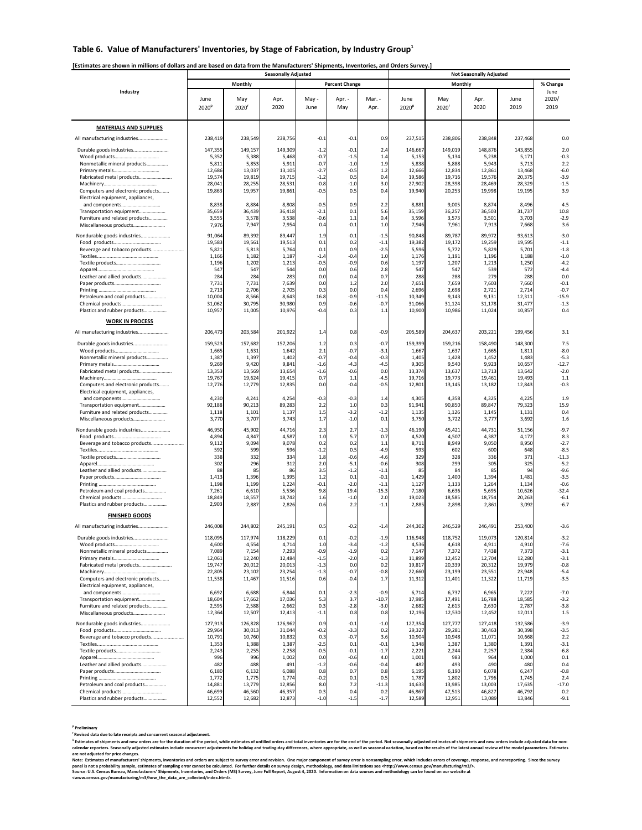# Table 6. Value of Manufacturers' Inventories, by Stage of Fabrication, by Industry Group<sup>1</sup>

|                                                                        |                           |                       | <b>Seasonally Adjusted</b> |                  |                          |                   |                           |                       | <b>Not Seasonally Adjusted</b> |                  |                       |
|------------------------------------------------------------------------|---------------------------|-----------------------|----------------------------|------------------|--------------------------|-------------------|---------------------------|-----------------------|--------------------------------|------------------|-----------------------|
|                                                                        |                           | <b>Monthly</b>        |                            |                  | <b>Percent Change</b>    |                   |                           |                       | <b>Monthly</b>                 |                  | % Change              |
| Industry                                                               | June<br>2020 <sup>p</sup> | May<br>$2020^{\circ}$ | Apr.<br>2020               | May -<br>June    | Apr. -<br>May            | Mar. -<br>Apr.    | June<br>2020 <sup>p</sup> | May<br>$2020^{\circ}$ | Apr.<br>2020                   | June<br>2019     | June<br>2020/<br>2019 |
| <b>MATERIALS AND SUPPLIES</b>                                          |                           |                       |                            |                  |                          |                   |                           |                       |                                |                  |                       |
| All manufacturing industries                                           | 238,419                   | 238,549               | 238,756                    | $-0.1$           | $-0.1$                   | 0.9               | 237,515                   | 238,806               | 238,848                        | 237,468          | 0.0                   |
| Durable goods industries                                               | 147,355                   | 149,157               | 149,309                    | $-1.2$           | $-0.1$                   | 2.4               | 146,667                   | 149,019               | 148,876                        | 143,855          | 2.0                   |
|                                                                        | 5,352                     | 5,388                 | 5,468                      | $-0.7$           | $-1.5$                   | 1.4               | 5,153                     | 5,134                 | 5,238                          | 5,171            | $-0.3$                |
| Nonmetallic mineral products                                           | 5,811                     | 5,853                 | 5,911                      | $-0.7$           | $-1.0$                   | 1.9               | 5,838                     | 5,888                 | 5,943                          | 5,713            | 2.2                   |
| Fabricated metal products                                              | 12,686<br>19,574          | 13,037<br>19,819      | 13,105<br>19,715           | $-2.7$<br>$-1.2$ | $-0.5$<br>0.5            | 1.2<br>0.4        | 12,666<br>19,586          | 12,834<br>19,716      | 12,861<br>19,576               | 13,468<br>20,375 | $-6.0$<br>$-3.9$      |
|                                                                        | 28,041                    | 28,255                | 28,531                     | $-0.8$           | $-1.0$                   | 3.0               | 27,902                    | 28,398                | 28,469                         | 28,329           | $-1.5$                |
| Computers and electronic products<br>Electrical equipment, appliances, | 19,863                    | 19,957                | 19,861                     | $-0.5$           | 0.5                      | 0.4               | 19,940                    | 20,253                | 19,998                         | 19,195           | 3.9                   |
| Transportation equipment                                               | 8,838<br>35,659           | 8,884<br>36,439       | 8,808<br>36,418            | $-0.5$<br>$-2.1$ | 0.9<br>0.1               | 2.2<br>5.6        | 8,881<br>35,159           | 9,005<br>36,257       | 8,874<br>36,503                | 8,496<br>31,737  | 4.5<br>10.8           |
| Furniture and related products                                         | 3,555                     | 3,578                 | 3,538                      | $-0.6$           | 1.1                      | 0.4               | 3,596                     | 3,573                 | 3,501                          | 3,703            | $-2.9$                |
| Miscellaneous products                                                 | 7,976                     | 7,947                 | 7,954                      | 0.4              | $-0.1$                   | 1.0               | 7,946                     | 7,961                 | 7,913                          | 7,668            | 3.6                   |
| Nondurable goods industries                                            | 91,064                    | 89,392                | 89,447                     | 1.9              | $-0.1$                   | $-1.5$            | 90,848                    | 89,787                | 89,972                         | 93,613           | $-3.0$                |
| Beverage and tobacco products                                          | 19,583<br>5,821           | 19,561<br>5,813       | 19,513<br>5,764            | 0.1<br>0.1       | 0.2<br>0.9               | $-1.1$<br>$-2.5$  | 19,382<br>5,596           | 19,172<br>5,772       | 19,259<br>5,829                | 19,595<br>5,701  | $-1.1$<br>$-1.8$      |
|                                                                        | 1,166                     | 1,182                 | 1,187                      | $-1.4$           | $-0.4$                   | 1.0               | 1,176                     | 1,191                 | 1,196                          | 1,188            | $-1.0$                |
|                                                                        | 1,196                     | 1,202                 | 1,213                      | $-0.5$           | $-0.9$                   | 0.6               | 1,197                     | 1,207                 | 1,213                          | 1,250            | $-4.2$                |
| Leather and allied products                                            | 547<br>284                | 547<br>284            | 544<br>283                 | 0.0<br>0.0       | 0.6<br>$\Omega$ $\Delta$ | 2.8<br>0.7        | 547<br>288                | 547<br>288            | 539<br>279                     | 572<br>288       | $-4.4$<br>0.0         |
|                                                                        | 7,731                     | 7,731                 | 7,639                      | 0.0              | 1.2                      | 2.0               | 7,651                     | 7,659                 | 7,603                          | 7,660            | $-0.1$                |
|                                                                        | 2,713                     | 2,706                 | 2,705                      | 0.3              | 0.0                      | 0.4               | 2,696                     | 2,698                 | 2,721                          | 2,714            | $-0.7$                |
| Petroleum and coal products                                            | 10,004<br>31,062          | 8,566<br>30,795       | 8,643<br>30,980            | 16.8<br>0.9      | $-0.9$<br>$-0.6$         | $-11.5$<br>$-0.7$ | 10,349<br>31,066          | 9,143<br>31,124       | 9,131<br>31,178                | 12,311<br>31,477 | $-15.9$<br>$-1.3$     |
| Plastics and rubber products                                           | 10,957                    | 11,005                | 10,976                     | $-0.4$           | 0.3                      | 1.1               | 10,900                    | 10,986                | 11,024                         | 10,857           | 0.4                   |
| <b>WORK IN PROCESS</b>                                                 |                           |                       |                            |                  |                          |                   |                           |                       |                                |                  |                       |
| All manufacturing industries                                           | 206,473                   | 203,584               | 201,922                    | 1.4              | 0.8                      | $-0.9$            | 205,589                   | 204,637               | 203,221                        | 199,456          | 3.1                   |
|                                                                        |                           |                       |                            |                  |                          |                   |                           |                       |                                |                  |                       |
| Durable goods industries                                               | 159,523<br>1,665          | 157,682<br>1,631      | 157,206<br>1,642           | 1.2<br>2.1       | 0.3<br>$-0.7$            | $-0.7$<br>$-3.1$  | 159,399<br>1,667          | 159,216<br>1,637      | 158,490<br>1,665               | 148,300<br>1,811 | 7.5<br>$-8.0$         |
| Nonmetallic mineral products                                           | 1,387                     | 1,397                 | 1,402                      | $-0.7$           | $-0.4$                   | $-0.3$            | 1,405                     | 1,428                 | 1,452                          | 1,483            | $-5.3$                |
|                                                                        | 9,269                     | 9,420                 | 9,841                      | $-1.6$           | $-4.3$                   | $-4.5$            | 9,305                     | 9,540                 | 9,923                          | 10,657           | $-12.7$<br>$-2.0$     |
| Fabricated metal products                                              | 13,353<br>19,767          | 13,569<br>19,624      | 13,654<br>19,415           | $-1.6$<br>0.7    | $-0.6$<br>1.1            | 0.0<br>$-4.5$     | 13,374<br>19,716          | 13,637<br>19,773      | 13,713<br>19,461               | 13,642<br>19,493 | 1.1                   |
| Computers and electronic products                                      | 12,776                    | 12,779                | 12,835                     | 0.0              | $-0.4$                   | $-0.5$            | 12,801                    | 13,145                | 13,182                         | 12,843           | $-0.3$                |
| Electrical equipment, appliances,                                      |                           |                       |                            |                  |                          |                   |                           |                       |                                |                  |                       |
| Transportation equipment                                               | 4,230<br>92,188           | 4,241<br>90,213       | 4,254<br>89,283            | $-0.3$<br>2.2    | $-0.3$<br>1.0            | 1.4<br>0.3        | 4,305<br>91,941           | 4,358<br>90,850       | 4,325<br>89,847                | 4,225<br>79,323  | 1.9<br>15.9           |
| Furniture and related products                                         | 1,118                     | 1,101                 | 1,137                      | 1.5              | $-3.2$                   | $-1.2$            | 1,135                     | 1,126                 | 1,145                          | 1,131            | 0.4                   |
| Miscellaneous products                                                 | 3,770                     | 3,707                 | 3,743                      | 1.7              | $-1.0$                   | 0.1               | 3,750                     | 3,722                 | 3,777                          | 3,692            | 1.6                   |
| Nondurable goods industries                                            | 46,950<br>4,894           | 45,902<br>4,847       | 44,716<br>4,587            | 2.3<br>1.0       | 2.7<br>5.7               | $-1.3$<br>0.7     | 46,190<br>4,520           | 45,421<br>4,507       | 44,731<br>4,387                | 51,156<br>4,172  | $-9.7$<br>8.3         |
| Beverage and tobacco products                                          | 9,112                     | 9,094                 | 9,078                      | 0.2              | 0.2                      | 1.1               | 8,711                     | 8,949                 | 9,050                          | 8,950            | $-2.7$                |
|                                                                        | 592                       | 599                   | 596                        | $-1.2$           | 0.5                      | $-4.9$            | 593                       | 602                   | 600                            | 648              | $-8.5$                |
|                                                                        | 338<br>302                | 332<br>296            | 334<br>312                 | 1.8<br>2.0       | $-0.6$<br>$-5.1$         | $-4.6$<br>$-0.6$  | 329<br>308                | 328<br>299            | 336<br>305                     | 371<br>325       | $-11.3$<br>$-5.2$     |
| Leather and allied products                                            | 88                        | 85                    | 86                         | 3.5              | $-1.2$                   | $-1.1$            | 85                        | 84                    | 85                             | 94               | $-9.6$                |
|                                                                        | 1,413                     | 1,396                 | 1,395                      | 1.2              | 0.1                      | $-0.1$            | 1,429                     | 1,400                 | 1,394                          | 1,481            | $-3.5$                |
| Petroleum and coal products                                            | 1,198<br>7,261            | 1,199<br>6,610        | 1,224<br>5,536             | $-0.1$<br>9.8    | $-2.0$<br>19.4           | $-1.1$<br>$-15.3$ | 1,127<br>7,180            | 1,133<br>6,636        | 1,264<br>5,695                 | 1,134<br>10,626  | $-0.6$<br>$-32.4$     |
|                                                                        | 18,849                    | 18,557                | 18,742                     | 1.6              | $-1.0$                   | 2.0               | 19,023                    | 18,585                | 18,754                         | 20,263           | $-6.1$                |
| Plastics and rubber products                                           | 2,903                     | 2,887                 | 2,826                      | 0.6              | 2.2                      | $-1.1$            | 2,885                     | 2,898                 | 2,861                          | 3,092            | $-6.7$                |
| <b>FINISHED GOODS</b>                                                  |                           |                       |                            |                  |                          |                   |                           |                       |                                |                  |                       |
| All manufacturing industries                                           | 246,008                   | 244,802               | 245,191                    | 0.5              | $-0.2$                   | $-1.4$            | 244,302                   | 246,529               | 246,491                        | 253,400          | $-3.6$                |
| Durable goods industries                                               | 118,095                   | 117,974               | 118,229                    | 0.1              | $-0.2$                   | $-1.9$            | 116,948                   | 118,752               | 119,073                        | 120,814          | $-3.2$                |
| Nonmetallic mineral products                                           | 4,600<br>7,089            | 4,554<br>7,154        | 4,714<br>7,293             | 1.0<br>$-0.9$    | $-3.4$<br>$-1.9$         | $-1.2$<br>0.2     | 4,536<br>7,147            | 4,618<br>7,372        | 4,911<br>7,438                 | 4,910<br>7,373   | $-7.6$<br>$-3.1$      |
|                                                                        | 12,061                    | 12,240                | 12,484                     | $-1.5$           | $-2.0$                   | $-1.3$            | 11,899                    | 12,452                | 12,704                         | 12,280           | $-3.1$                |
|                                                                        | 19,747                    | 20,012                | 20,013                     | $-1.3$           | 0.0                      | 0.2               | 19,817                    | 20,339                | 20,312                         | 19,979           | $-0.8$                |
| Computers and electronic products                                      | 22,805<br>11,538          | 23,102<br>11,467      | 23,254<br>11,516           | $-1.3$<br>0.6    | $-0.7$<br>$-0.4$         | $-0.8$<br>1.7     | 22,660<br>11,312          | 23,199<br>11,401      | 23,551<br>11,322               | 23,948<br>11,719 | $-5.4$<br>$-3.5$      |
| Electrical equipment, appliances,                                      |                           |                       |                            |                  |                          |                   |                           |                       |                                |                  |                       |
| and components                                                         | 6,692<br>18,604           | 6,688<br>17,662       | 6,844<br>17,036            | 0.1<br>5.3       | $-2.3$<br>3.7            | $-0.9$<br>$-10.7$ | 6,714<br>17,985           | 6,737<br>17,491       | 6,965<br>16,788                | 7,222<br>18,585  | $-7.0$<br>$-3.2$      |
| Transportation equipment<br>Furniture and related products             | 2,595                     | 2,588                 | 2,662                      | 0.3              | $-2.8$                   | $-3.0$            | 2,682                     | 2,613                 | 2,630                          | 2,787            | $-3.8$                |
| Miscellaneous products                                                 | 12,364                    | 12,507                | 12,413                     | $-1.1$           | 0.8                      | 0.8               | 12,196                    | 12,530                | 12,452                         | 12,011           | 1.5                   |
| Nondurable goods industries                                            | 127,913                   | 126,828               | 126,962                    | 0.9              | $-0.1$                   | $-1.0$            | 127,354                   | 127,777               | 127,418                        | 132,586          | $-3.9$                |
|                                                                        | 29,964                    | 30,013                | 31,044                     | $-0.2$           | $-3.3$                   | 0.2               | 29,327                    | 29,281                | 30,463                         | 30,398           | $-3.5$                |
| Beverage and tobacco products                                          | 10,791<br>1,353           | 10,760<br>1,388       | 10,832<br>1,387            | 0.3<br>$-2.5$    | $-0.7$<br>0.1            | 3.6<br>$-0.1$     | 10,904<br>1,348           | 10,948<br>1,387       | 11,071<br>1,380                | 10,668<br>1,391  | 2.2<br>$-3.1$         |
|                                                                        | 2,243                     | 2,255                 | 2,258                      | $-0.5$           | $-0.1$                   | $-1.7$            | 2,221                     | 2,244                 | 2,257                          | 2,384            | $-6.8$                |
|                                                                        | 996                       | 996                   | 1,002                      | 0.0              | $-0.6$                   | 4.0               | 1,001                     | 983                   | 964                            | 1,000            | 0.1                   |
| Leather and allied products                                            | 482<br>6,180              | 488<br>6,132          | 491<br>6,088               | $-1.2$<br>0.8    | $-0.6$<br>0.7            | $-0.4$<br>0.8     | 482<br>6,195              | 493<br>6,190          | 490<br>6,078                   | 480<br>6,247     | 0.4<br>$-0.8$         |
|                                                                        | 1,772                     | 1,775                 | 1,774                      | $-0.2$           | 0.1                      | 0.5               | 1,787                     | 1,802                 | 1,796                          | 1,745            | 2.4                   |
| Petroleum and coal products                                            | 14,881                    | 13,779                | 12,856                     | 8.0              | 7.2                      | $-11.3$           | 14,633                    | 13,985                | 13,003                         | 17,635           | $-17.0$               |
| Plastics and rubber products                                           | 46,699<br>12,552          | 46,560<br>12,682      | 46,357<br>12,873           | 0.3<br>$-1.0$    | 0.4<br>$-1.5$            | 0.2<br>$-1.7$     | 46,867<br>12,589          | 47,513<br>12,951      | 46,827<br>13,089               | 46,792<br>13,846 | 0.2<br>$-9.1$         |
|                                                                        |                           |                       |                            |                  |                          |                   |                           |                       |                                |                  |                       |

 $^1$  Estimates of shipments and new orders are for the duration of the period, while estimates of unfilled orders and total inventories are for the end of the period. Not seasonally adjusted estimates of shipments and new calendar reporters. Seasonally adjusted estimates include concurrent adjustments for holiday and trading-day differences, where appropriate, as well as seasonal variation, based on the results of the latest annual review o **are not adjusted for price changes.** 

Note: Estimates of manufacturers' shipments, inventories and orders are subject to survey error and revision. One major component of survey error is nonsampling error, which includes errors of coverage, response, and nonre panel is not a probability sample, estimates of sampling error cannot be calculated. For further details on survey design, methodology, and data limitations see <http://www.census.gov/manufacturing/m3/>.

**p Preliminary** 

**r Revised data due to late receipts and concurrent seasonal adjustment.** 

**Source: U.S. Census Bureau, Manufacturers' Shipments, Inventories, and Orders (M3) Survey, June Full Report, August 4, 2020. Information on data sources and methodology can be found on our website at <www.census.gov/manufacturing/m3/how\_the\_data\_are\_collected/index.html>.**